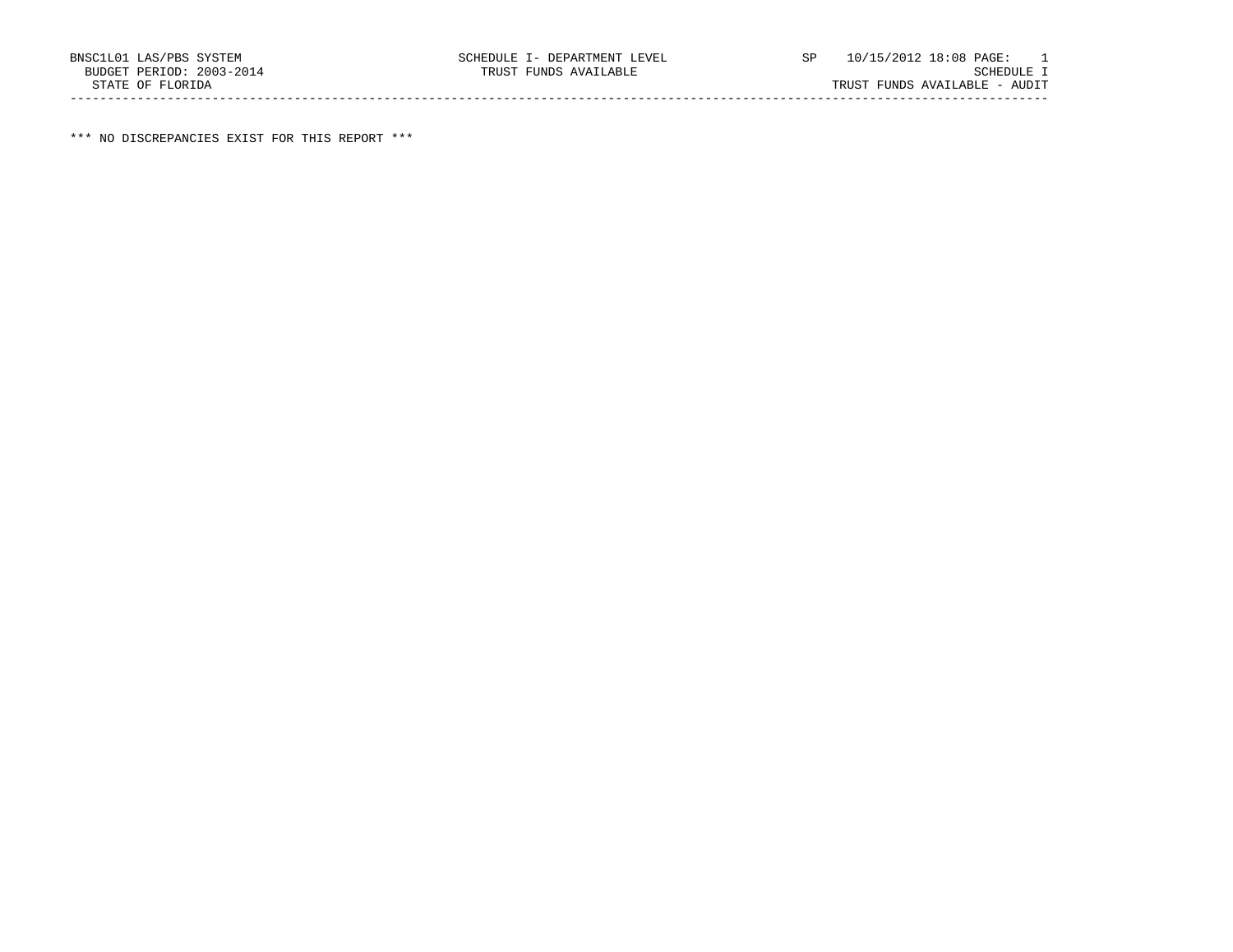\*\*\* NO DISCREPANCIES EXIST FOR THIS REPORT \*\*\*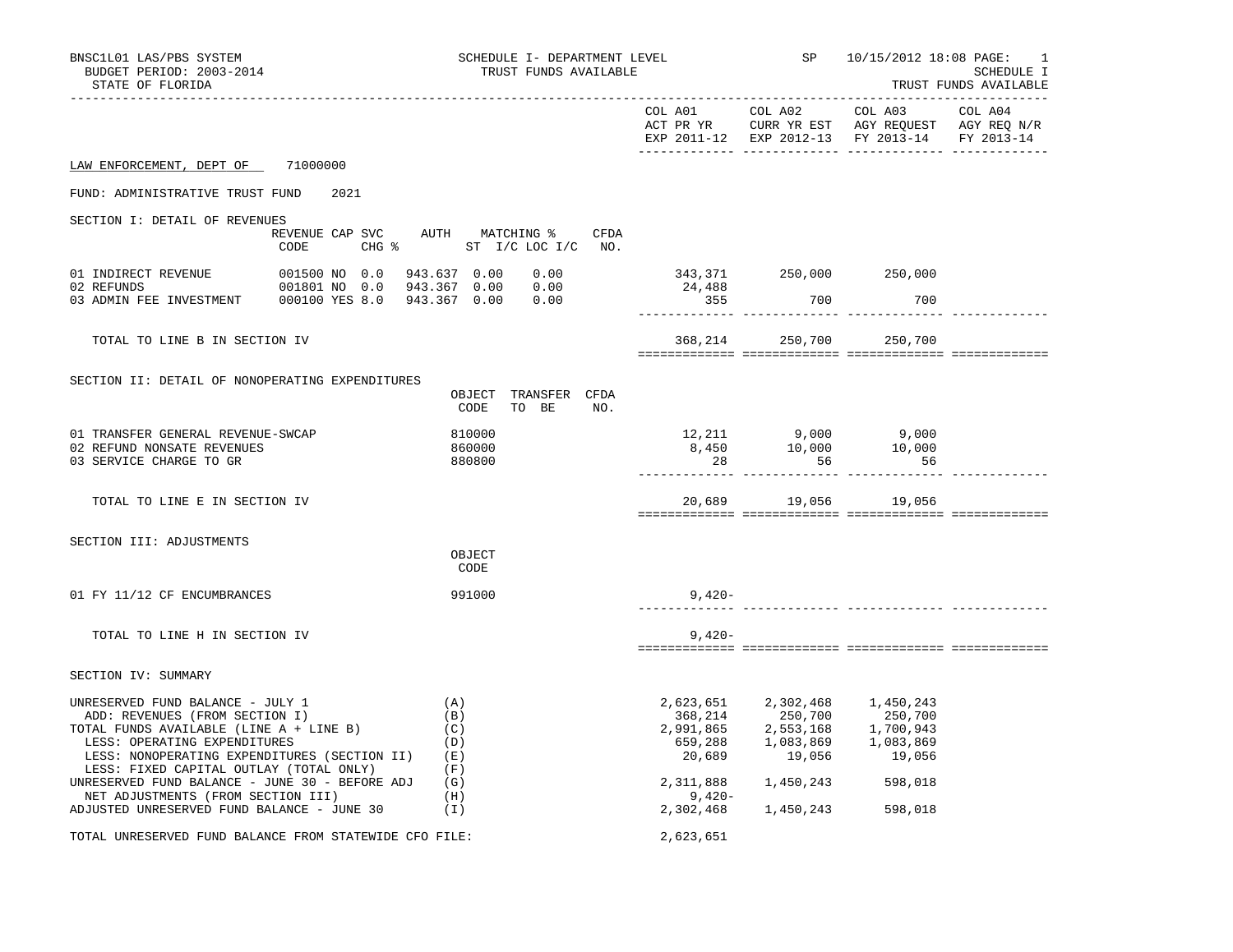| BNSC1L01 LAS/PBS SYSTEM<br>BUDGET PERIOD: 2003-2014<br>STATE OF FLORIDA                                                                                                                                                                      | SCHEDULE I- DEPARTMENT LEVEL<br>TRUST FUNDS AVAILABLE            |           |                                                                                                                                                            | SP 10/15/2012 18:08 PAGE:<br>-1<br>SCHEDULE I<br>TRUST FUNDS AVAILABLE                                                                      |         |  |
|----------------------------------------------------------------------------------------------------------------------------------------------------------------------------------------------------------------------------------------------|------------------------------------------------------------------|-----------|------------------------------------------------------------------------------------------------------------------------------------------------------------|---------------------------------------------------------------------------------------------------------------------------------------------|---------|--|
|                                                                                                                                                                                                                                              |                                                                  |           |                                                                                                                                                            | COL A01 COL A02 COL A03<br>ACT PR YR CURR YR EST AGY REQUEST AGY REQ N/R<br>EXP 2011-12 EXP 2012-13 FY 2013-14 FY 2013-14                   | COL A04 |  |
| LAW ENFORCEMENT, DEPT OF 71000000                                                                                                                                                                                                            |                                                                  |           |                                                                                                                                                            |                                                                                                                                             |         |  |
| FUND: ADMINISTRATIVE TRUST FUND<br>2021                                                                                                                                                                                                      |                                                                  |           |                                                                                                                                                            |                                                                                                                                             |         |  |
| SECTION I: DETAIL OF REVENUES<br>CODE                                                                                                                                                                                                        | REVENUE CAP SVC AUTH MATCHING % CFDA<br>CHG % ST I/C LOC I/C NO. |           |                                                                                                                                                            |                                                                                                                                             |         |  |
|                                                                                                                                                                                                                                              |                                                                  | 24,488    | 343,371 250,000 250,000                                                                                                                                    |                                                                                                                                             |         |  |
|                                                                                                                                                                                                                                              |                                                                  | 355       | 700                                                                                                                                                        | 700                                                                                                                                         |         |  |
| TOTAL TO LINE B IN SECTION IV                                                                                                                                                                                                                |                                                                  |           |                                                                                                                                                            | 368,214 250,700 250,700                                                                                                                     |         |  |
| SECTION II: DETAIL OF NONOPERATING EXPENDITURES                                                                                                                                                                                              | OBJECT TRANSFER CFDA<br>CODE TO BE NO.                           |           |                                                                                                                                                            |                                                                                                                                             |         |  |
| 01 TRANSFER GENERAL REVENUE-SWCAP<br>02 REFUND NONSATE REVENUES<br>03 SERVICE CHARGE TO GR                                                                                                                                                   | 810000<br>860000<br>880800                                       | 28        | 56                                                                                                                                                         | $\begin{array}{cccc} 12\,, 211 & \quad & 9\,, 000 & \quad & 9\,, 000 \\ 8\,, 450 & \quad & 10\,, 000 & \quad & 10\,, 000 \end{array}$<br>56 |         |  |
| TOTAL TO LINE E IN SECTION IV                                                                                                                                                                                                                |                                                                  |           | 20,689 19,056 19,056                                                                                                                                       |                                                                                                                                             |         |  |
| SECTION III: ADJUSTMENTS                                                                                                                                                                                                                     | OBJECT<br>CODE                                                   |           |                                                                                                                                                            |                                                                                                                                             |         |  |
| 01 FY 11/12 CF ENCUMBRANCES                                                                                                                                                                                                                  | 991000                                                           | $9.420 -$ |                                                                                                                                                            |                                                                                                                                             |         |  |
| TOTAL TO LINE H IN SECTION IV                                                                                                                                                                                                                |                                                                  | $9,420-$  |                                                                                                                                                            |                                                                                                                                             |         |  |
| SECTION IV: SUMMARY                                                                                                                                                                                                                          |                                                                  |           |                                                                                                                                                            |                                                                                                                                             |         |  |
| UNRESERVED FUND BALANCE - JULY 1<br>ADD: REVENUES (FROM SECTION I)<br>TOTAL FUNDS AVAILABLE (LINE A + LINE B)<br>LESS: OPERATING EXPENDITURES<br>LESS: NONOPERATING EXPENDITURES (SECTION II) (E)<br>LESS: FIXED CAPITAL OUTLAY (TOTAL ONLY) | (A)<br>(B)<br>(C)<br>(D)<br>(F)                                  |           | 2,623,651 2,302,468 1,450,243<br>368, 214<br>250, 700<br>2, 991, 865<br>2, 553, 168<br>1, 700, 943<br>559, 288<br>20, 689<br>19, 056<br>19, 056<br>20, 563 |                                                                                                                                             |         |  |
| UNRESERVED FUND BALANCE - JUNE 30 - BEFORE ADJ $(G)$<br>NET ADJUSTMENTS (FROM SECTION III)<br>ADJUSTED UNRESERVED FUND BALANCE - JUNE 30                                                                                                     | (H)<br>(1)                                                       | 9,420-    | 2,311,888 1,450,243 598,018<br>2,302,468 1,450,243                                                                                                         | 598,018                                                                                                                                     |         |  |
| TOTAL UNRESERVED FUND BALANCE FROM STATEWIDE CFO FILE:                                                                                                                                                                                       |                                                                  | 2,623,651 |                                                                                                                                                            |                                                                                                                                             |         |  |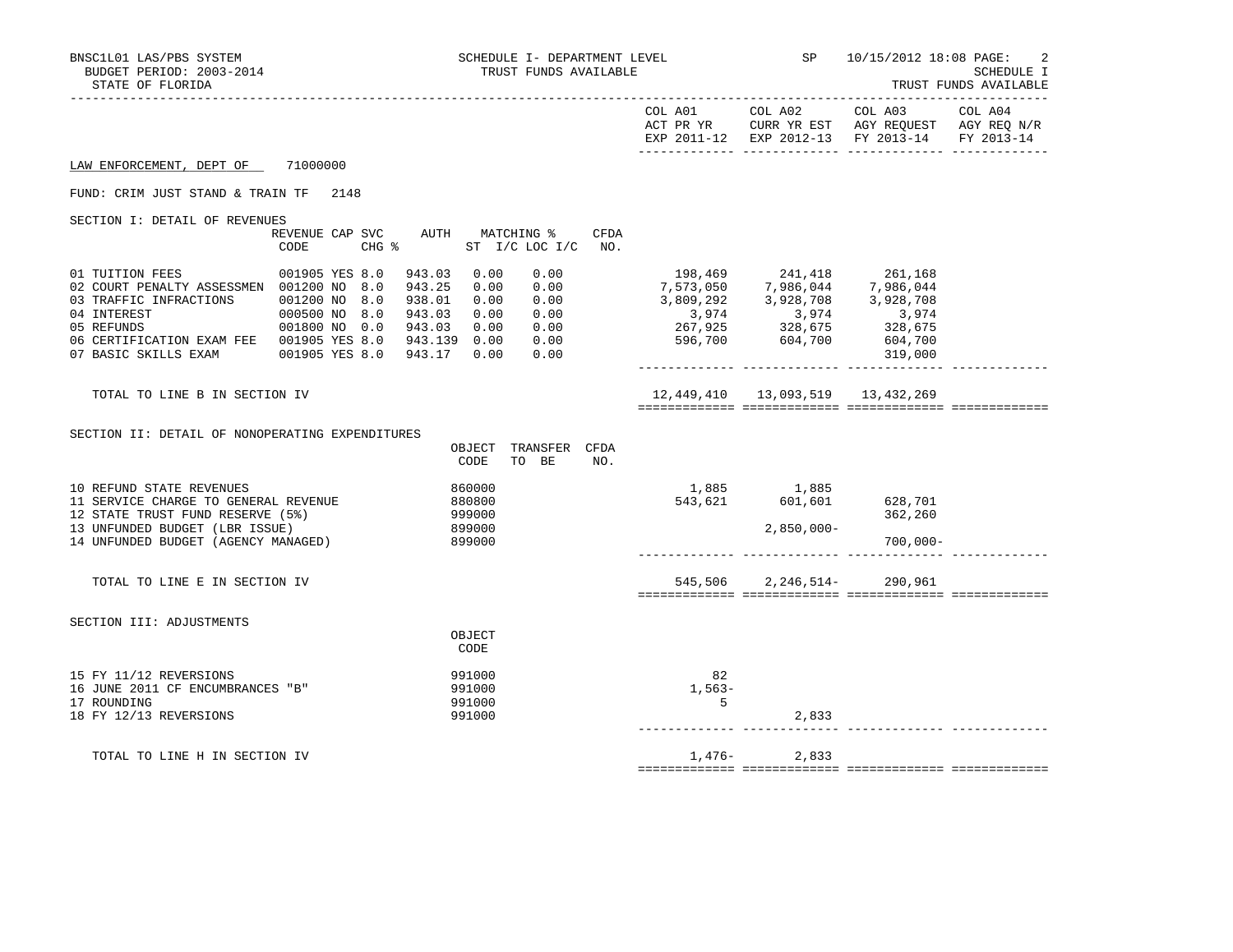| BNSC1L01 LAS/PBS SYSTEM<br>BUDGET PERIOD: 2003-2014<br>STATE OF FLORIDA                                                                                                                                                                                                                          | SCHEDULE I- DEPARTMENT LEVEL<br>TRUST FUNDS AVAILABLE                                                                                               | <b>SP</b>                                                                                                                                                                                                                      | 10/15/2012 18:08 PAGE:<br>SCHEDULE I<br>TRUST FUNDS AVAILABLE                                                     |
|--------------------------------------------------------------------------------------------------------------------------------------------------------------------------------------------------------------------------------------------------------------------------------------------------|-----------------------------------------------------------------------------------------------------------------------------------------------------|--------------------------------------------------------------------------------------------------------------------------------------------------------------------------------------------------------------------------------|-------------------------------------------------------------------------------------------------------------------|
|                                                                                                                                                                                                                                                                                                  |                                                                                                                                                     | COL A01 COL A02                                                                                                                                                                                                                | COL A03 COL A04<br>ACT PR YR CURR YR EST AGY REQUEST AGY REQ N/R<br>EXP 2011-12 EXP 2012-13 FY 2013-14 FY 2013-14 |
| 71000000<br>LAW ENFORCEMENT, DEPT OF                                                                                                                                                                                                                                                             |                                                                                                                                                     |                                                                                                                                                                                                                                |                                                                                                                   |
| FUND: CRIM JUST STAND & TRAIN TF<br>2148                                                                                                                                                                                                                                                         |                                                                                                                                                     |                                                                                                                                                                                                                                |                                                                                                                   |
| SECTION I: DETAIL OF REVENUES<br>REVENUE CAP SVC<br>CODE                                                                                                                                                                                                                                         | AUTH MATCHING %<br>CFDA<br>$CHG$ $\approx$<br>ST I/C LOC I/C NO.                                                                                    |                                                                                                                                                                                                                                |                                                                                                                   |
| 01 TUITION FEES<br>001905 YES 8.0<br>02 COURT PENALTY ASSESSMEN 001200 NO 8.0<br>03 TRAFFIC INFRACTIONS 001200 NO 8.0<br>000500 NO 8.0<br>001800 NO 0.0<br>04 INTEREST<br>05 REFUNDS<br>06 CERTIFICATION EXAM FEE  001905 YES 8.0  943.139  0.00  0.00<br>07 BASIC SKILLS EXAM<br>001905 YES 8.0 | 943.03<br>0.00<br>0.00<br>0.00<br>943.25<br>0.00<br>938.01<br>0.00 0.00<br>$0.00 0.00$<br>$0.00 0.00$<br>943.03<br>943.03<br>0.00<br>943.17<br>0.00 | $\begin{array}{cccc} 198,469 & 241,418 & 261,168 \\ 7,573,050 & 7,986,044 & 7,986,044 \\ 3,809,292 & 3,928,708 & 3,928,708 \\ 3,974 & 3,974 & 3,974 \\ 267,925 & 328,675 & 328,675 \\ 596,700 & 604,700 & 604,700 \end{array}$ | 319,000                                                                                                           |
| TOTAL TO LINE B IN SECTION IV                                                                                                                                                                                                                                                                    |                                                                                                                                                     | 12,449,410 13,093,519 13,432,269                                                                                                                                                                                               |                                                                                                                   |
| SECTION II: DETAIL OF NONOPERATING EXPENDITURES                                                                                                                                                                                                                                                  | OBJECT<br>TRANSFER CFDA<br>TO BE<br>NO.<br>CODE                                                                                                     |                                                                                                                                                                                                                                |                                                                                                                   |
| 10 REFUND STATE REVENUES<br>11 SERVICE CHARGE TO GENERAL REVENUE<br>12 STATE TRUST FUND RESERVE (5%)<br>13 UNFUNDED BUDGET (LBR ISSUE)<br>14 UNFUNDED BUDGET (AGENCY MANAGED)                                                                                                                    | 860000<br>880800<br>999000<br>899000<br>899000                                                                                                      | $\begin{array}{cccc} 1,885 & & 1,885 \\ 543,621 & & 601,601 & & 628,701 \end{array}$<br>543,621<br>$2,850,000-$                                                                                                                | 362,260<br>$700,000 -$                                                                                            |
| TOTAL TO LINE E IN SECTION IV                                                                                                                                                                                                                                                                    |                                                                                                                                                     | 545,506 2,246,514- 290,961                                                                                                                                                                                                     |                                                                                                                   |
| SECTION III: ADJUSTMENTS                                                                                                                                                                                                                                                                         | OBJECT<br>CODE                                                                                                                                      |                                                                                                                                                                                                                                |                                                                                                                   |
| 15 FY 11/12 REVERSIONS<br>16 JUNE 2011 CF ENCUMBRANCES "B"<br>17 ROUNDING<br>18 FY 12/13 REVERSIONS                                                                                                                                                                                              | 991000<br>991000<br>991000<br>991000                                                                                                                | 82<br>$1,563-$<br>5<br>2,833                                                                                                                                                                                                   |                                                                                                                   |
| TOTAL TO LINE H IN SECTION IV                                                                                                                                                                                                                                                                    |                                                                                                                                                     | 1,476-<br>2,833                                                                                                                                                                                                                |                                                                                                                   |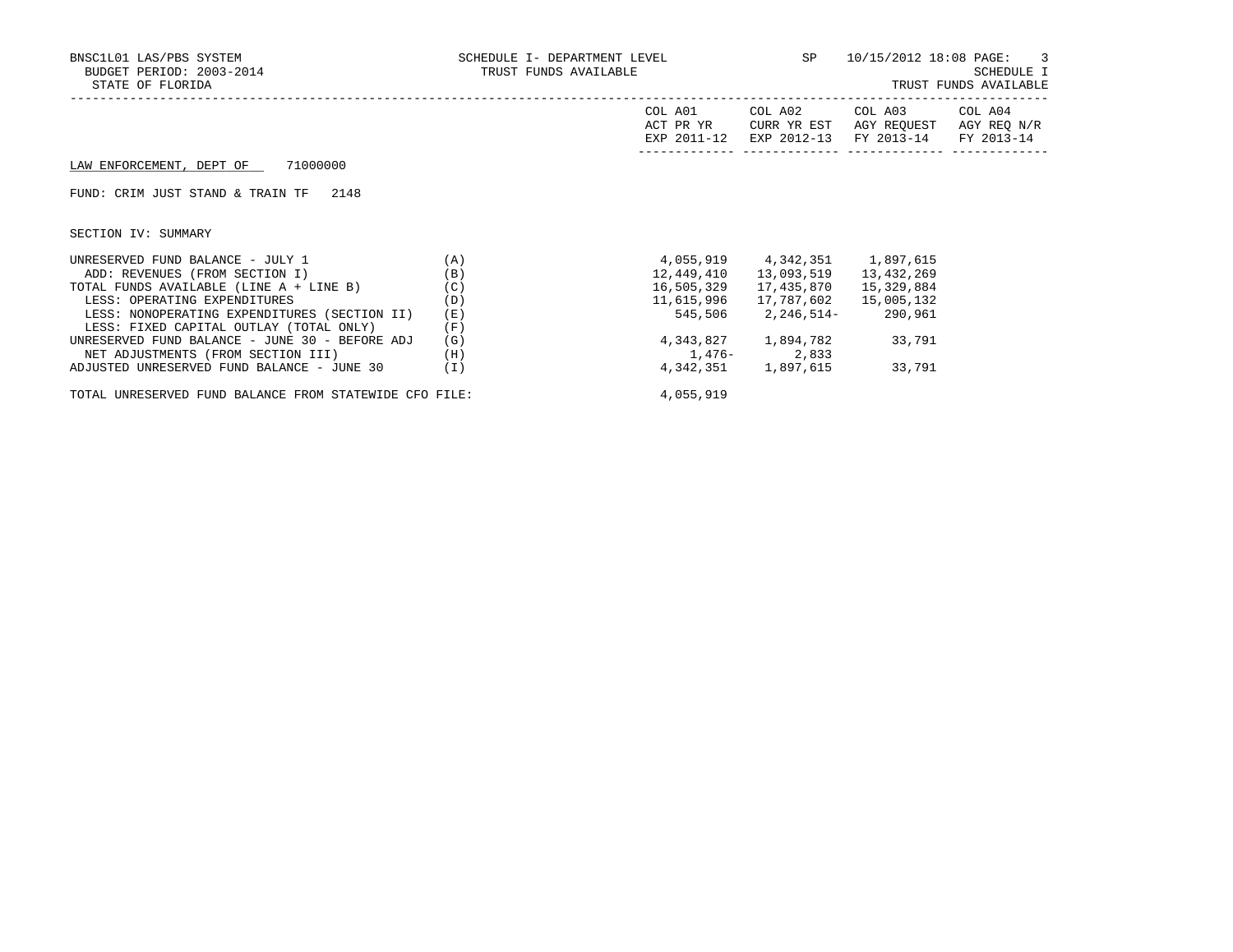| BNSC1L01 LAS/PBS SYSTEM<br>BUDGET PERIOD: 2003-2014<br>STATE OF FLORIDA | SCHEDULE I- DEPARTMENT LEVEL SP $10/15/2012$ 18:08 PAGE: 3<br>TRUST FUNDS AVAILABLE |                                     |                                       |                                                                     | SCHEDULE I<br>TRUST FUNDS AVAILABLE |
|-------------------------------------------------------------------------|-------------------------------------------------------------------------------------|-------------------------------------|---------------------------------------|---------------------------------------------------------------------|-------------------------------------|
|                                                                         |                                                                                     | COL A01<br>ACT PR YR<br>EXP 2011-12 | COL A02<br>CURR YR EST<br>EXP 2012-13 | COL A03 COL A04<br>AGY REOUEST AGY REO N/R<br>FY 2013-14 FY 2013-14 |                                     |
| LAW ENFORCEMENT, DEPT OF 71000000                                       |                                                                                     |                                     |                                       |                                                                     |                                     |
| FUND: CRIM JUST STAND & TRAIN TF<br>2148                                |                                                                                     |                                     |                                       |                                                                     |                                     |
| SECTION IV: SUMMARY                                                     |                                                                                     |                                     |                                       |                                                                     |                                     |
| (A)<br>UNRESERVED FUND BALANCE - JULY 1                                 |                                                                                     |                                     | 4,055,919    4,342,351    1,897,615   |                                                                     |                                     |
| ADD: REVENUES (FROM SECTION I)                                          | (B)                                                                                 | 12,449,410                          | 13,093,519                            | 13,432,269                                                          |                                     |
| TOTAL FUNDS AVAILABLE (LINE A + LINE B)                                 | (C)                                                                                 | 16,505,329                          | 17,435,870                            | 15,329,884                                                          |                                     |
| LESS: OPERATING EXPENDITURES                                            | (D)                                                                                 | 11,615,996                          |                                       |                                                                     |                                     |
| LESS: NONOPERATING EXPENDITURES (SECTION II)                            | (E)                                                                                 | 545,506                             | 2,246,514-290,961                     |                                                                     |                                     |
| LESS: FIXED CAPITAL OUTLAY (TOTAL ONLY)                                 | (F)                                                                                 |                                     |                                       |                                                                     |                                     |
| UNRESERVED FUND BALANCE - JUNE 30 - BEFORE ADJ                          | (G)                                                                                 |                                     | 4, 343, 827 1, 894, 782 33, 791       |                                                                     |                                     |
| NET ADJUSTMENTS (FROM SECTION III)                                      | (H)                                                                                 | $1,476-2,833$                       |                                       |                                                                     |                                     |
| ADJUSTED UNRESERVED FUND BALANCE - JUNE 30                              | (I)                                                                                 |                                     | 4, 342, 351 1, 897, 615 33, 791       |                                                                     |                                     |

TOTAL UNRESERVED FUND BALANCE FROM STATEWIDE CFO FILE:  $4,055,919$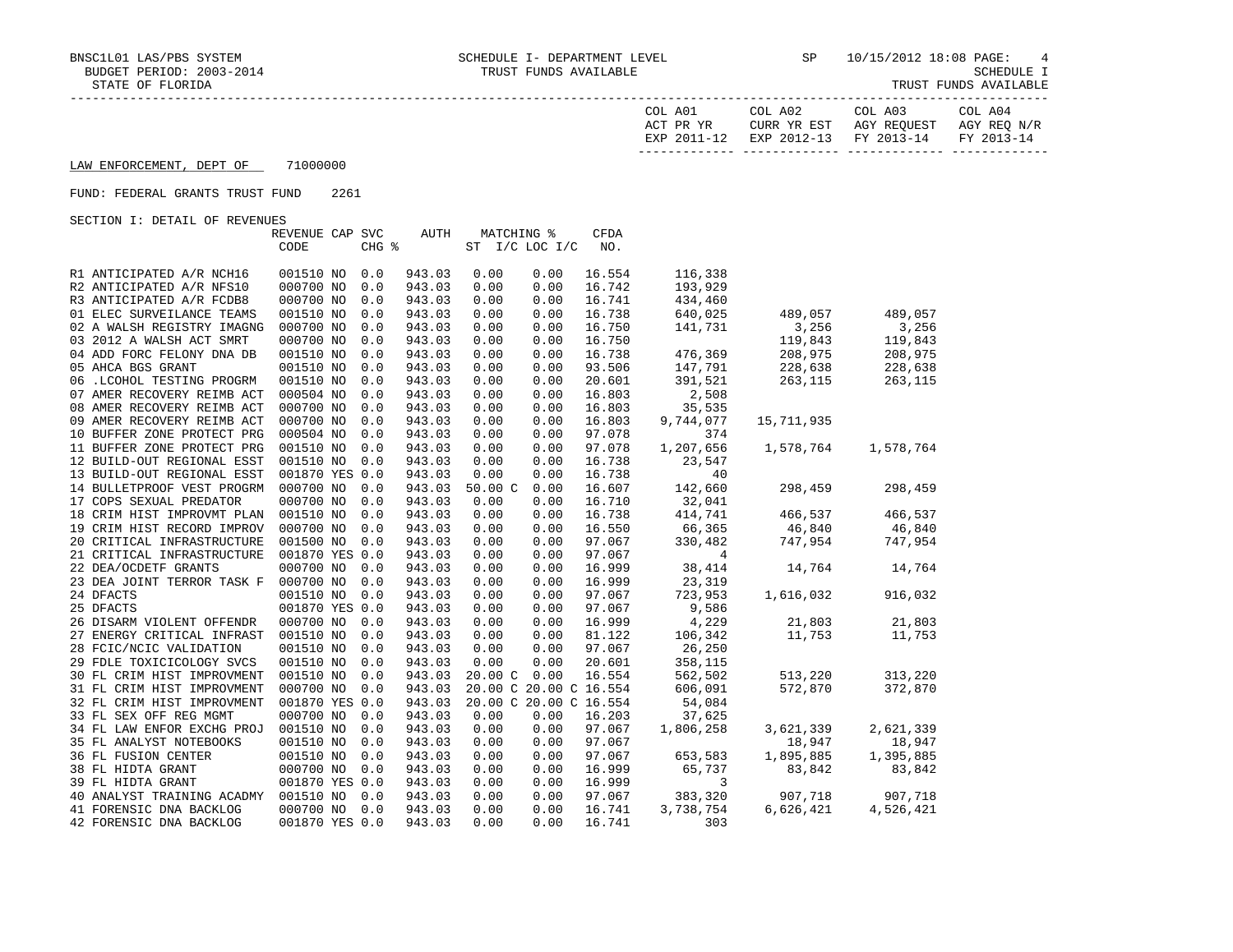| COL A01     | COL A02                | COL A03     | COL A04     |
|-------------|------------------------|-------------|-------------|
| ACT PR YR   | CURR YR EST            | AGY REOUEST | AGY REO N/R |
| EXP 2011-12 | EXP 2012-13 FY 2013-14 |             | FY 2013-14  |
|             |                        |             |             |

## LAW ENFORCEMENT, DEPT OF 71000000

## FUND: FEDERAL GRANTS TRUST FUND 2261

SECTION I: DETAIL OF REVENUES

|                                      | REVENUE CAP SVC |       | <b>AUTH</b> | MATCHING %     |      | CFDA                   |                |            |           |
|--------------------------------------|-----------------|-------|-------------|----------------|------|------------------------|----------------|------------|-----------|
|                                      | CODE            | CHG % |             | ST I/C LOC I/C |      | NO.                    |                |            |           |
|                                      |                 |       |             |                |      |                        |                |            |           |
| R1 ANTICIPATED A/R NCH16             | 001510 NO       | 0.0   | 943.03      | 0.00           | 0.00 | 16.554                 | 116,338        |            |           |
| R2 ANTICIPATED A/R NFS10             | 000700 NO       | 0.0   | 943.03      | 0.00           | 0.00 | 16.742                 | 193,929        |            |           |
| R3 ANTICIPATED A/R FCDB8             | 000700 NO       | 0.0   | 943.03      | 0.00           | 0.00 | 16.741                 | 434,460        |            |           |
| 01 ELEC SURVEILANCE TEAMS            | 001510 NO       | 0.0   | 943.03      | 0.00           | 0.00 | 16.738                 | 640,025        | 489,057    | 489,057   |
| 02 A WALSH REGISTRY IMAGNG           | 000700 NO       | 0.0   | 943.03      | 0.00           | 0.00 | 16.750                 | 141,731        | 3,256      | 3,256     |
| 03 2012 A WALSH ACT SMRT             | 000700 NO       | 0.0   | 943.03      | 0.00           | 0.00 | 16.750                 |                | 119,843    | 119,843   |
| 04 ADD FORC FELONY DNA DB            | 001510 NO       | 0.0   | 943.03      | 0.00           | 0.00 | 16.738                 | 476,369        | 208,975    | 208,975   |
| 05 AHCA BGS GRANT                    | 001510 NO       | 0.0   | 943.03      | 0.00           | 0.00 | 93.506                 | 147,791        | 228,638    | 228,638   |
| 06 .LCOHOL TESTING PROGRM            | 001510 NO       | 0.0   | 943.03      | 0.00           | 0.00 | 20.601                 | 391,521        | 263,115    | 263,115   |
| 07 AMER RECOVERY REIMB ACT           | 000504 NO       | 0.0   | 943.03      | 0.00           | 0.00 | 16.803                 | 2,508          |            |           |
| 08 AMER RECOVERY REIMB ACT           | 000700 NO       | 0.0   | 943.03      | 0.00           | 0.00 | 16.803                 | 35,535         |            |           |
| 09 AMER RECOVERY REIMB ACT           | 000700 NO       | 0.0   | 943.03      | 0.00           | 0.00 | 16.803                 | 9,744,077      | 15,711,935 |           |
| 10 BUFFER ZONE PROTECT PRG           | 000504 NO       | 0.0   | 943.03      | 0.00           | 0.00 | 97.078                 | 374            |            |           |
| 11 BUFFER ZONE PROTECT PRG           | 001510 NO       | 0.0   | 943.03      | 0.00           | 0.00 | 97.078                 | 1,207,656      | 1,578,764  | 1,578,764 |
| 12 BUILD-OUT REGIONAL ESST           | 001510 NO       | 0.0   | 943.03      | 0.00           | 0.00 | 16.738                 | 23,547         |            |           |
| 13 BUILD-OUT REGIONAL ESST           | 001870 YES 0.0  |       | 943.03      | 0.00           | 0.00 | 16.738                 | 40             |            |           |
| 14 BULLETPROOF VEST PROGRM           | 000700 NO       | 0.0   | 943.03      | 50.00C         | 0.00 | 16.607                 | 142,660        | 298,459    | 298,459   |
| 17 COPS SEXUAL PREDATOR              | 000700 NO       | 0.0   | 943.03      | 0.00           | 0.00 | 16.710                 | 32,041         |            |           |
| 18 CRIM HIST IMPROVMT PLAN           | 001510 NO       | 0.0   | 943.03      | 0.00           | 0.00 | 16.738                 | 414,741        | 466,537    | 466,537   |
| 19 CRIM HIST RECORD IMPROV           | 000700 NO       | 0.0   | 943.03      | 0.00           | 0.00 | 16.550                 | 66,365         | 46,840     | 46,840    |
| 20 CRITICAL INFRASTRUCTURE           | 001500 NO       | 0.0   | 943.03      | 0.00           | 0.00 | 97.067                 | 330,482        | 747,954    | 747,954   |
| 21 CRITICAL INFRASTRUCTURE           | 001870 YES 0.0  |       | 943.03      | 0.00           | 0.00 | 97.067                 | $\overline{4}$ |            |           |
| 22 DEA/OCDETF GRANTS                 | 000700 NO       | 0.0   | 943.03      | 0.00           | 0.00 | 16.999                 | 38,414         | 14,764     | 14,764    |
| 23 DEA JOINT TERROR TASK F           | 000700 NO       | 0.0   | 943.03      | 0.00           | 0.00 | 16.999                 | 23,319         |            |           |
| 24 DFACTS                            | 001510 NO       | 0.0   | 943.03      | 0.00           | 0.00 | 97.067                 | 723,953        | 1,616,032  | 916,032   |
| 25 DFACTS                            | 001870 YES 0.0  |       | 943.03      | 0.00           | 0.00 | 97.067                 | 9,586          |            |           |
| 26 DISARM VIOLENT OFFENDR            | 000700 NO       | 0.0   | 943.03      | 0.00           | 0.00 | 16.999                 | 4,229          | 21,803     | 21,803    |
| 27 ENERGY CRITICAL INFRAST           | 001510 NO       | 0.0   | 943.03      | 0.00           | 0.00 | 81.122                 | 106,342        | 11,753     | 11,753    |
| 28 FCIC/NCIC VALIDATION              | 001510 NO       | 0.0   | 943.03      | 0.00           | 0.00 | 97.067                 | 26,250         |            |           |
| 29 FDLE TOXICICOLOGY SVCS            | 001510 NO       | 0.0   | 943.03      | 0.00           | 0.00 | 20.601                 | 358,115        |            |           |
| 30 FL CRIM HIST IMPROVMENT           | 001510 NO       | 0.0   | 943.03      | 20.00C         | 0.00 | 16.554                 | 562,502        | 513,220    | 313,220   |
| 31 FL CRIM HIST IMPROVMENT           | 000700 NO       | 0.0   | 943.03      |                |      | 20.00 C 20.00 C 16.554 | 606,091        | 572,870    | 372,870   |
| 32 FL CRIM HIST IMPROVMENT           | 001870 YES 0.0  |       | 943.03      |                |      | 20.00 C 20.00 C 16.554 | 54,084         |            |           |
| 33 FL SEX OFF REG MGMT               | 000700 NO       | 0.0   | 943.03      | 0.00           | 0.00 | 16.203                 | 37,625         |            |           |
| 34 FL LAW ENFOR EXCHG PROJ           | 001510 NO       | 0.0   | 943.03      | 0.00           | 0.00 | 97.067                 | 1,806,258      | 3,621,339  | 2,621,339 |
| 35 FL ANALYST NOTEBOOKS              | 001510 NO       | 0.0   | 943.03      | 0.00           | 0.00 | 97.067                 |                | 18,947     | 18,947    |
| <b>36 FL FUSION CENTER</b>           | 001510 NO       | 0.0   | 943.03      | 0.00           | 0.00 | 97.067                 | 653,583        | 1,895,885  | 1,395,885 |
| 38 FL HIDTA GRANT                    | 000700 NO       | 0.0   | 943.03      | 0.00           | 0.00 | 16.999                 | 65,737         | 83,842     | 83,842    |
| 39 FL HIDTA GRANT                    | 001870 YES 0.0  |       | 943.03      | 0.00           | 0.00 | 16.999                 | 3              |            |           |
| 40 ANALYST TRAINING ACADMY 001510 NO |                 | 0.0   | 943.03      | 0.00           | 0.00 | 97.067                 | 383,320        | 907,718    | 907,718   |
| 41 FORENSIC DNA BACKLOG              | 000700 NO       | 0.0   | 943.03      | 0.00           | 0.00 | 16.741                 | 3,738,754      | 6,626,421  | 4,526,421 |
| 42 FORENSIC DNA BACKLOG              | 001870 YES 0.0  |       | 943.03      | 0.00           | 0.00 | 16.741                 | 303            |            |           |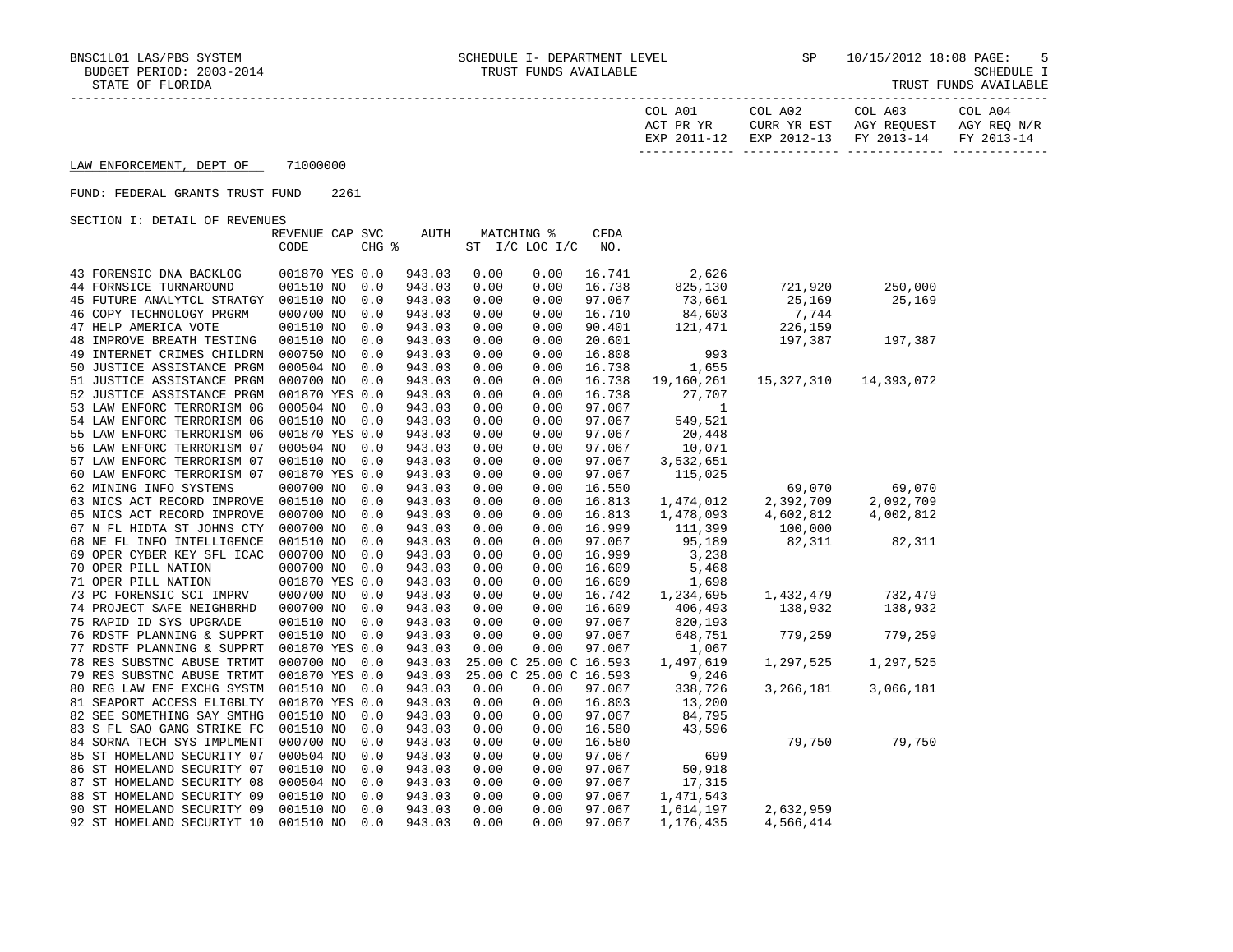| COL A01     | COL A02                | COL A03     | COL A04     |
|-------------|------------------------|-------------|-------------|
| ACT PR YR   | CURR YR EST            | AGY REOUEST | AGY REO N/R |
| EXP 2011-12 | EXP 2012-13 FY 2013-14 |             | FY 2013-14  |
|             |                        |             |             |

## LAW ENFORCEMENT, DEPT OF 71000000

## FUND: FEDERAL GRANTS TRUST FUND 2261

SECTION I: DETAIL OF REVENUES

| ORCITON I: DRIAIN OF KRYBNORD    | REVENUE CAP SVC |       | AUTH   |      | MATCHING %             | <b>CFDA</b> |            |            |            |
|----------------------------------|-----------------|-------|--------|------|------------------------|-------------|------------|------------|------------|
|                                  | CODE            | CHG % |        |      | ST I/C LOC I/C         | NO.         |            |            |            |
|                                  |                 |       |        |      |                        |             |            |            |            |
| 43 FORENSIC DNA BACKLOG          | 001870 YES 0.0  |       | 943.03 | 0.00 | 0.00                   | 16.741      | 2,626      |            |            |
| <b>44 FORNSICE TURNAROUND</b>    | 001510 NO       | 0.0   | 943.03 | 0.00 | 0.00                   | 16.738      | 825,130    | 721,920    | 250,000    |
| 45 FUTURE ANALYTCL STRATGY       | 001510 NO       | 0.0   | 943.03 | 0.00 | 0.00                   | 97.067      | 73,661     | 25,169     | 25,169     |
| 46 COPY TECHNOLOGY PRGRM         | 000700 NO       | 0.0   | 943.03 | 0.00 | 0.00                   | 16.710      | 84,603     | 7,744      |            |
|                                  |                 |       |        |      |                        |             |            |            |            |
| 47 HELP AMERICA VOTE             | 001510 NO       | 0.0   | 943.03 | 0.00 | 0.00                   | 90.401      | 121,471    | 226,159    |            |
| <b>48 IMPROVE BREATH TESTING</b> | 001510 NO       | 0.0   | 943.03 | 0.00 | 0.00                   | 20.601      |            | 197,387    | 197,387    |
| 49 INTERNET CRIMES CHILDRN       | 000750 NO       | 0.0   | 943.03 | 0.00 | 0.00                   | 16.808      | 993        |            |            |
| 50 JUSTICE ASSISTANCE PRGM       | 000504 NO       | 0.0   | 943.03 | 0.00 | 0.00                   | 16.738      | 1,655      |            |            |
| 51 JUSTICE ASSISTANCE PRGM       | 000700 NO       | 0.0   | 943.03 | 0.00 | 0.00                   | 16.738      | 19,160,261 | 15,327,310 | 14,393,072 |
| 52 JUSTICE ASSISTANCE PRGM       | 001870 YES 0.0  |       | 943.03 | 0.00 | 0.00                   | 16.738      | 27,707     |            |            |
| 53 LAW ENFORC TERRORISM 06       | 000504 NO       | 0.0   | 943.03 | 0.00 | 0.00                   | 97.067      | 1          |            |            |
| 54 LAW ENFORC TERRORISM 06       | 001510 NO       | 0.0   | 943.03 | 0.00 | 0.00                   | 97.067      | 549,521    |            |            |
| 55 LAW ENFORC TERRORISM 06       | 001870 YES 0.0  |       | 943.03 | 0.00 | 0.00                   | 97.067      | 20,448     |            |            |
| 56 LAW ENFORC TERRORISM 07       | 000504 NO       | 0.0   | 943.03 | 0.00 | 0.00                   | 97.067      | 10,071     |            |            |
| 57 LAW ENFORC TERRORISM 07       | 001510 NO       | 0.0   | 943.03 | 0.00 | 0.00                   | 97.067      | 3,532,651  |            |            |
| 60 LAW ENFORC TERRORISM 07       | 001870 YES 0.0  |       | 943.03 | 0.00 | 0.00                   | 97.067      | 115,025    |            |            |
| 62 MINING INFO SYSTEMS           | 000700 NO       | 0.0   | 943.03 | 0.00 | 0.00                   | 16.550      |            | 69,070     | 69,070     |
| 63 NICS ACT RECORD IMPROVE       | 001510 NO       | 0.0   | 943.03 | 0.00 | 0.00                   | 16.813      | 1,474,012  | 2,392,709  | 2,092,709  |
| 65 NICS ACT RECORD IMPROVE       | 000700 NO       | 0.0   | 943.03 | 0.00 | 0.00                   | 16.813      | 1,478,093  | 4,602,812  | 4,002,812  |
| 67 N FL HIDTA ST JOHNS CTY       | 000700 NO       | 0.0   | 943.03 | 0.00 | 0.00                   | 16.999      | 111,399    | 100,000    |            |
| 68 NE FL INFO INTELLIGENCE       | 001510 NO       | 0.0   | 943.03 | 0.00 | 0.00                   | 97.067      | 95,189     | 82,311     | 82,311     |
| 69 OPER CYBER KEY SFL ICAC       | 000700 NO       | 0.0   | 943.03 | 0.00 | 0.00                   | 16.999      | 3,238      |            |            |
| 70 OPER PILL NATION              | 000700 NO       | 0.0   | 943.03 | 0.00 | 0.00                   | 16.609      | 5,468      |            |            |
| 71 OPER PILL NATION              | 001870 YES 0.0  |       | 943.03 | 0.00 | 0.00                   | 16.609      | 1,698      |            |            |
| 73 PC FORENSIC SCI IMPRV         | 000700 NO       | 0.0   | 943.03 | 0.00 | 0.00                   | 16.742      | 1,234,695  | 1,432,479  | 732,479    |
| 74 PROJECT SAFE NEIGHBRHD        | 000700 NO       | 0.0   | 943.03 | 0.00 | 0.00                   | 16.609      | 406,493    | 138,932    | 138,932    |
| 75 RAPID ID SYS UPGRADE          | 001510 NO       | 0.0   | 943.03 | 0.00 | 0.00                   | 97.067      | 820,193    |            |            |
| 76 RDSTF PLANNING & SUPPRT       | 001510 NO       | 0.0   | 943.03 | 0.00 | 0.00                   | 97.067      | 648,751    | 779,259    | 779,259    |
| 77 RDSTF PLANNING & SUPPRT       | 001870 YES 0.0  |       | 943.03 | 0.00 | 0.00                   | 97.067      | 1,067      |            |            |
| 78 RES SUBSTNC ABUSE TRTMT       | 000700 NO       | 0.0   | 943.03 |      | 25.00 C 25.00 C 16.593 |             | 1,497,619  | 1,297,525  | 1,297,525  |
| 79 RES SUBSTNC ABUSE TRTMT       | 001870 YES 0.0  |       | 943.03 |      | 25.00 C 25.00 C 16.593 |             | 9,246      |            |            |
| 80 REG LAW ENF EXCHG SYSTM       | 001510 NO       |       | 943.03 | 0.00 | 0.00                   | 97.067      | 338,726    | 3,266,181  | 3,066,181  |
|                                  |                 | 0.0   |        |      |                        |             |            |            |            |
| 81 SEAPORT ACCESS ELIGBLTY       | 001870 YES 0.0  |       | 943.03 | 0.00 | 0.00                   | 16.803      | 13,200     |            |            |
| 82 SEE SOMETHING SAY SMTHG       | 001510 NO       | 0.0   | 943.03 | 0.00 | 0.00                   | 97.067      | 84,795     |            |            |
| 83 S FL SAO GANG STRIKE FC       | 001510 NO       | 0.0   | 943.03 | 0.00 | 0.00                   | 16.580      | 43,596     |            |            |
| 84 SORNA TECH SYS IMPLMENT       | 000700 NO       | 0.0   | 943.03 | 0.00 | 0.00                   | 16.580      |            | 79,750     | 79,750     |
| 85 ST HOMELAND SECURITY 07       | 000504 NO       | 0.0   | 943.03 | 0.00 | 0.00                   | 97.067      | 699        |            |            |
| 86 ST HOMELAND SECURITY 07       | 001510 NO       | 0.0   | 943.03 | 0.00 | 0.00                   | 97.067      | 50,918     |            |            |
| 87 ST HOMELAND SECURITY 08       | 000504 NO       | 0.0   | 943.03 | 0.00 | 0.00                   | 97.067      | 17,315     |            |            |
| 88 ST HOMELAND SECURITY 09       | 001510 NO       | 0.0   | 943.03 | 0.00 | 0.00                   | 97.067      | 1,471,543  |            |            |
| 90 ST HOMELAND SECURITY 09       | 001510 NO       | 0.0   | 943.03 | 0.00 | 0.00                   | 97.067      | 1,614,197  | 2,632,959  |            |
| 92 ST HOMELAND SECURIYT 10       | 001510 NO       | 0.0   | 943.03 | 0.00 | 0.00                   | 97.067      | 1,176,435  | 4,566,414  |            |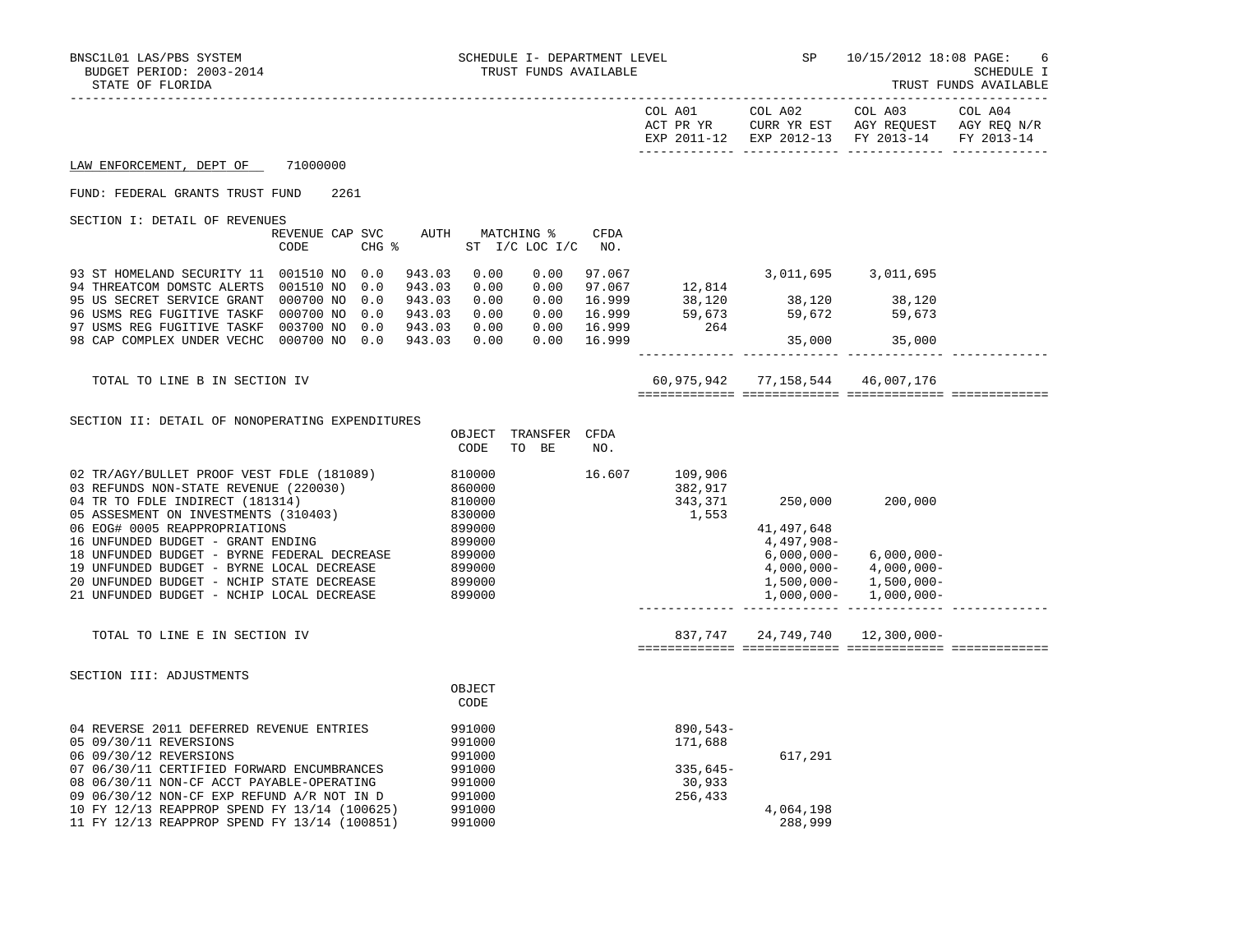| STATE OF FLORIDA                                                                                                                                              |                                     |      |                   |                            |                                      |                      |                            |                                     |                                              |                                                              | TRUST FUNDS AVAILABLE |
|---------------------------------------------------------------------------------------------------------------------------------------------------------------|-------------------------------------|------|-------------------|----------------------------|--------------------------------------|----------------------|----------------------------|-------------------------------------|----------------------------------------------|--------------------------------------------------------------|-----------------------|
|                                                                                                                                                               |                                     |      |                   |                            |                                      |                      |                            | COL A01<br>ACT PR YR<br>EXP 2011-12 | COL A02<br>EXP 2012-13                       | COL A03<br>CURR YR EST AGY REQUEST AGY REQ N/R<br>FY 2013-14 | COL A04<br>FY 2013-14 |
| LAW ENFORCEMENT, DEPT OF                                                                                                                                      | 71000000                            |      |                   |                            |                                      |                      |                            |                                     |                                              |                                                              |                       |
| FUND: FEDERAL GRANTS TRUST FUND                                                                                                                               |                                     | 2261 |                   |                            |                                      |                      |                            |                                     |                                              |                                                              |                       |
| SECTION I: DETAIL OF REVENUES                                                                                                                                 | REVENUE CAP SVC<br>CODE             |      | CHG %             | AUTH MATCHING %            |                                      | ST I/C LOC I/C       | CFDA<br>NO.                |                                     |                                              |                                                              |                       |
| 93 ST HOMELAND SECURITY 11<br>94 THREATCOM DOMSTC ALERTS                                                                                                      | 001510 NO<br>001510 NO              |      | 0.0<br>0.0        | 943.03<br>943.03           | 0.00<br>0.00                         | 0.00<br>0.00         | 97.067<br>97.067           | 12,814                              | 3,011,695                                    | 3,011,695                                                    |                       |
| 95 US SECRET SERVICE GRANT<br>96 USMS REG FUGITIVE TASKF<br>97 USMS REG FUGITIVE TASKF                                                                        | 000700 NO<br>000700 NO<br>003700 NO |      | 0.0<br>0.0<br>0.0 | 943.03<br>943.03<br>943.03 | 0.00<br>0.00<br>0.00                 | 0.00<br>0.00<br>0.00 | 16.999<br>16.999<br>16.999 | 264                                 | 38,120 38,120 38,120<br>59,673 59,672 59,673 |                                                              |                       |
| 98 CAP COMPLEX UNDER VECHC                                                                                                                                    | 000700 NO 0.0                       |      |                   | 943.03                     | 0.00                                 | 0.00                 | 16.999                     |                                     |                                              | 35,000 35,000                                                |                       |
| TOTAL TO LINE B IN SECTION IV                                                                                                                                 |                                     |      |                   |                            |                                      |                      |                            |                                     | 60,975,942 77,158,544 46,007,176             |                                                              |                       |
| SECTION II: DETAIL OF NONOPERATING EXPENDITURES                                                                                                               |                                     |      |                   |                            | OBJECT<br>CODE                       | TRANSFER<br>TO BE    | CFDA<br>NO.                |                                     |                                              |                                                              |                       |
| 02 TR/AGY/BULLET PROOF VEST FDLE (181089)<br>03 REFUNDS NON-STATE REVENUE (220030)<br>04 TR TO FDLE INDIRECT (181314)<br>05 ASSESMENT ON INVESTMENTS (310403) |                                     |      |                   |                            | 810000<br>860000<br>810000<br>830000 |                      | 16.607                     | 109,906<br>382,917<br>1,553         | 343,371 250,000 200,000                      |                                                              |                       |
| AC RAGU AAAF REIPROPREISTANTOMO                                                                                                                               |                                     |      |                   |                            | 000000                               |                      |                            |                                     | 11.107.610                                   |                                                              |                       |

 06 EOG# 0005 REAPPROPRIATIONS 899000 41,497,648 16 UNFUNDED BUDGET - GRANT ENDING 899000 4,497,908- 18 UNFUNDED BUDGET – BYRNE FEDERAL DECREASE 899000 6 (000 mm = 6,000,000 = 6,000,000 = 6,000,000 = 6,000,000 =<br>19 UNFUNDED BUDGET – BYRNE LOCAL DECREASE 899000 6 (899000 mm = 6,000,000 = 4,000,000 = 4,000,000 = 4,000,000 19 UNFUNDED BUDGET - BYRNE LOCAL DECREASE 899000 4,000,000- 4,000,000- 20 UNFUNDED BUDGET - NCHIP STATE DECREASE 899000 8000 8000 1,500,000 - 1,500,000 - 1,500,000 1,500,000 1,500,000 21 UNFUNDED BUDGET - NCHIP LOCAL DECREASE 899000 1,000,000- 1,000,000-

TOTAL TO LINE E IN SECTION IV 837,747 24,749,740 12,300,000-

============= ============= ============= =============

------------- ------------- ------------- -------------

| SECTION III: ADJUSTMENTS                     |        |            |
|----------------------------------------------|--------|------------|
|                                              | OBJECT |            |
|                                              | CODE   |            |
| 04 REVERSE 2011 DEFERRED REVENUE ENTRIES     | 991000 | $890,543-$ |
| 05 09/30/11 REVERSIONS                       | 991000 | 171,688    |
| 06 09/30/12 REVERSIONS                       | 991000 | 617,291    |
| 07 06/30/11 CERTIFIED FORWARD ENCUMBRANCES   | 991000 | $335.645-$ |
| 08 06/30/11 NON-CF ACCT PAYABLE-OPERATING    | 991000 | 30,933     |
| 09 06/30/12 NON-CF EXP REFUND A/R NOT IN D   | 991000 | 256,433    |
| 10 FY 12/13 REAPPROP SPEND FY 13/14 (100625) | 991000 | 4,064,198  |
| 11 FY 12/13 REAPPROP SPEND FY 13/14 (100851) | 991000 | 288,999    |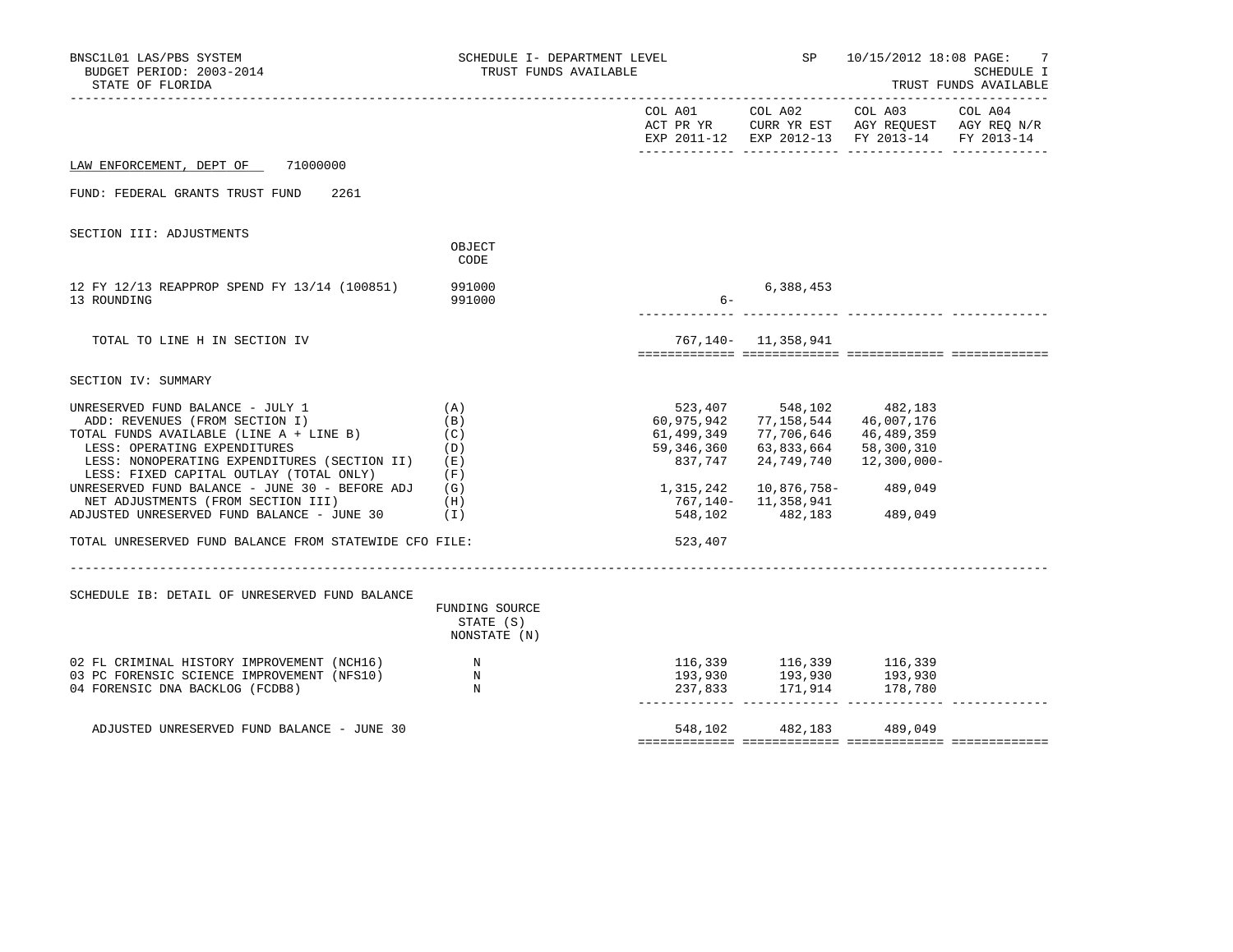| BNSC1L01 LAS/PBS SYSTEM<br>BUDGET PERIOD: 2003-2014<br>STATE OF FLORIDA                                                                                                                                                                                | SCHEDULE I- DEPARTMENT LEVEL<br>TRUST FUNDS AVAILABLE |                                                   |                                                                                                         | SP 10/15/2012 18:08 PAGE:                                                                                                                                                                                                                                                                                                                                                                                   | 7<br>SCHEDULE I<br>TRUST FUNDS AVAILABLE |
|--------------------------------------------------------------------------------------------------------------------------------------------------------------------------------------------------------------------------------------------------------|-------------------------------------------------------|---------------------------------------------------|---------------------------------------------------------------------------------------------------------|-------------------------------------------------------------------------------------------------------------------------------------------------------------------------------------------------------------------------------------------------------------------------------------------------------------------------------------------------------------------------------------------------------------|------------------------------------------|
|                                                                                                                                                                                                                                                        |                                                       |                                                   |                                                                                                         | $\begin{tabular}{lllllllllll} \multicolumn{2}{l}{{\text{COL A01}}} & \multicolumn{2}{c}{\text{COL A03}} & \multicolumn{2}{c}{\text{COL A04}} \end{tabular}$<br>$\begin{tabular}{lllllllll} \texttt{ACT PR YR} & & \texttt{CURR YR EST} & $\texttt{AGY REGUEST}$ & $\texttt{AGY REG N/R} \\ \texttt{EXP 2011--12} & $\texttt{EXP 2012--13}$ & $\texttt{FY 2013--14}$ & $\texttt{FY 2013--14}$ \end{tabular}$ |                                          |
| LAW ENFORCEMENT, DEPT OF 71000000                                                                                                                                                                                                                      |                                                       |                                                   |                                                                                                         |                                                                                                                                                                                                                                                                                                                                                                                                             |                                          |
| FUND: FEDERAL GRANTS TRUST FUND<br>2261                                                                                                                                                                                                                |                                                       |                                                   |                                                                                                         |                                                                                                                                                                                                                                                                                                                                                                                                             |                                          |
| SECTION III: ADJUSTMENTS                                                                                                                                                                                                                               |                                                       |                                                   |                                                                                                         |                                                                                                                                                                                                                                                                                                                                                                                                             |                                          |
|                                                                                                                                                                                                                                                        | OBJECT<br>CODE                                        |                                                   |                                                                                                         |                                                                                                                                                                                                                                                                                                                                                                                                             |                                          |
| 12 FY 12/13 REAPPROP SPEND FY 13/14 (100851)<br>13 ROUNDING                                                                                                                                                                                            | 991000<br>991000                                      | $6 -$                                             | 6,388,453                                                                                               |                                                                                                                                                                                                                                                                                                                                                                                                             |                                          |
| TOTAL TO LINE H IN SECTION IV                                                                                                                                                                                                                          |                                                       |                                                   | 767, 140 - 11, 358, 941                                                                                 |                                                                                                                                                                                                                                                                                                                                                                                                             |                                          |
| SECTION IV: SUMMARY                                                                                                                                                                                                                                    |                                                       |                                                   |                                                                                                         |                                                                                                                                                                                                                                                                                                                                                                                                             |                                          |
| UNRESERVED FUND BALANCE - JULY 1<br>(A)<br>ADD: REVENUES (FROM SECTION I)<br>TOTAL FUNDS AVAILABLE (LINE $A + LINE B$ ) (C)<br>LESS: OPERATING EXPENDITURES<br>LESS: NONOPERATING EXPENDITURES (SECTION II)<br>LESS: FIXED CAPITAL OUTLAY (TOTAL ONLY) | (B)<br>(D)<br>(E)<br>(F)                              | 60,975,942<br>61,499,349<br>59,346,360<br>837,747 | 523,407 548,102 482,183<br>77,158,544<br>77,706,646   46,489,359<br>63,833,664 58,300,310<br>24,749,740 | 46,007,176<br>12,300,000-                                                                                                                                                                                                                                                                                                                                                                                   |                                          |
| UNRESERVED FUND BALANCE - JUNE 30 - BEFORE ADJ $(G)$<br>NET ADJUSTMENTS (FROM SECTION III)<br>ADJUSTED UNRESERVED FUND BALANCE - JUNE 30 (I)                                                                                                           | (H)                                                   | 1,315,242                                         | 10,876,758-489,049<br>767,140- 11,358,941<br>548,102 482,183 489,049                                    |                                                                                                                                                                                                                                                                                                                                                                                                             |                                          |
| TOTAL UNRESERVED FUND BALANCE FROM STATEWIDE CFO FILE:                                                                                                                                                                                                 |                                                       | 523,407                                           |                                                                                                         |                                                                                                                                                                                                                                                                                                                                                                                                             |                                          |
|                                                                                                                                                                                                                                                        |                                                       |                                                   |                                                                                                         |                                                                                                                                                                                                                                                                                                                                                                                                             |                                          |
| SCHEDULE IB: DETAIL OF UNRESERVED FUND BALANCE                                                                                                                                                                                                         | FUNDING SOURCE<br>STATE (S)<br>NONSTATE (N)           |                                                   |                                                                                                         |                                                                                                                                                                                                                                                                                                                                                                                                             |                                          |
| 02 FL CRIMINAL HISTORY IMPROVEMENT (NCH16)<br>03 PC FORENSIC SCIENCE IMPROVEMENT (NFS10)<br>04 FORENSIC DNA BACKLOG (FCDB8)                                                                                                                            | $\mathbb N$<br>$\mathbb N$<br>N                       |                                                   |                                                                                                         | 116,339 116,339 116,339<br>193,930 193,930 193,930<br>237,833 171,914 178,780                                                                                                                                                                                                                                                                                                                               |                                          |
| ADJUSTED UNRESERVED FUND BALANCE - JUNE 30                                                                                                                                                                                                             |                                                       |                                                   | 548,102 482,183 489,049                                                                                 |                                                                                                                                                                                                                                                                                                                                                                                                             |                                          |
|                                                                                                                                                                                                                                                        |                                                       |                                                   |                                                                                                         |                                                                                                                                                                                                                                                                                                                                                                                                             |                                          |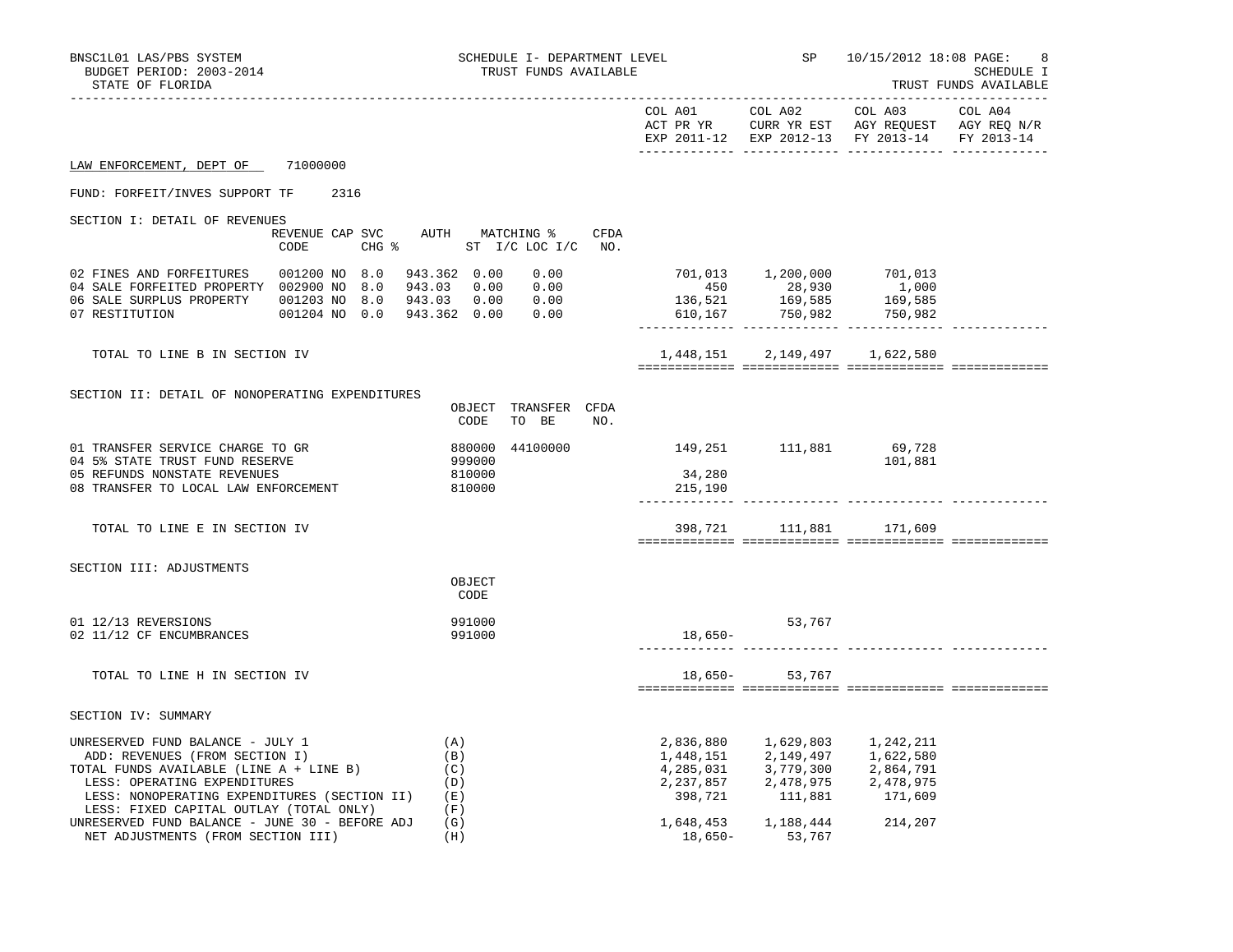| BNSC1L01 LAS/PBS SYSTEM<br>BUDGET PERIOD: 2003-2014<br>STATE OF FLORIDA                                                                                                                                                                  |                                              |                                        | SCHEDULE I- DEPARTMENT LEVEL<br>TRUST FUNDS AVAILABLE |                                                      |                                                                                                                               | SP 10/15/2012 18:08 PAGE:                                             | 8<br>SCHEDULE I<br>TRUST FUNDS AVAILABLE |
|------------------------------------------------------------------------------------------------------------------------------------------------------------------------------------------------------------------------------------------|----------------------------------------------|----------------------------------------|-------------------------------------------------------|------------------------------------------------------|-------------------------------------------------------------------------------------------------------------------------------|-----------------------------------------------------------------------|------------------------------------------|
|                                                                                                                                                                                                                                          |                                              |                                        |                                                       |                                                      |                                                                                                                               | EXP 2011-12 EXP 2012-13 FY 2013-14                                    | FY 2013-14                               |
| LAW ENFORCEMENT, DEPT OF 71000000                                                                                                                                                                                                        |                                              |                                        |                                                       |                                                      |                                                                                                                               |                                                                       |                                          |
| FUND: FORFEIT/INVES SUPPORT TF 2316                                                                                                                                                                                                      |                                              |                                        |                                                       |                                                      |                                                                                                                               |                                                                       |                                          |
| SECTION I: DETAIL OF REVENUES                                                                                                                                                                                                            | REVENUE CAP SVC AUTH MATCHING % CFDA<br>CODE | CHG % ST I/C LOC I/C NO.               |                                                       |                                                      |                                                                                                                               |                                                                       |                                          |
| 04 SALE FORFEITED PROPERTY 002900 NO 8.0 943.03 0.00 0.00<br>07 RESTITUTION                                                                                                                                                              | 001204 NO 0.0 943.362 0.00 0.00              |                                        | 0.00                                                  |                                                      | 701,013  1,200,000  701,013<br>$\begin{array}{cccc} & 450 & & 28,930 \ 136,521 & & 169,585 \ 610,167 & & 750,982 \end{array}$ | 1,000<br>169,585<br>750,982                                           |                                          |
| TOTAL TO LINE B IN SECTION IV                                                                                                                                                                                                            |                                              |                                        |                                                       | 1,448,151                                            |                                                                                                                               | 2, 149, 497 1, 622, 580                                               |                                          |
| SECTION II: DETAIL OF NONOPERATING EXPENDITURES                                                                                                                                                                                          |                                              | OBJECT TRANSFER CFDA<br>CODE TO BE     | NO.                                                   |                                                      |                                                                                                                               |                                                                       |                                          |
| 01 TRANSFER SERVICE CHARGE TO GR<br>04 5% STATE TRUST FUND RESERVE<br>05 REFUNDS NONSTATE REVENUES<br>08 TRANSFER TO LOCAL LAW ENFORCEMENT                                                                                               |                                              | 999000<br>810000<br>810000             |                                                       | 880000 44100000 149,251 111,881<br>34,280<br>215,190 |                                                                                                                               | 69,728<br>101,881                                                     |                                          |
| TOTAL TO LINE E IN SECTION IV                                                                                                                                                                                                            |                                              |                                        |                                                       |                                                      | 398,721 111,881 171,609                                                                                                       |                                                                       |                                          |
| SECTION III: ADJUSTMENTS                                                                                                                                                                                                                 |                                              | OBJECT<br>CODE                         |                                                       |                                                      |                                                                                                                               |                                                                       |                                          |
| 01 12/13 REVERSIONS<br>02 11/12 CF ENCUMBRANCES                                                                                                                                                                                          |                                              | 991000<br>991000                       |                                                       | 18,650-                                              | 53,767                                                                                                                        |                                                                       |                                          |
| TOTAL TO LINE H IN SECTION IV                                                                                                                                                                                                            |                                              |                                        |                                                       |                                                      | 18,650- 53,767                                                                                                                |                                                                       |                                          |
| SECTION IV: SUMMARY                                                                                                                                                                                                                      |                                              |                                        |                                                       |                                                      |                                                                                                                               |                                                                       |                                          |
| UNRESERVED FUND BALANCE - JULY 1<br>ADD: REVENUES (FROM SECTION I)<br>TOTAL FUNDS AVAILABLE (LINE A + LINE B)<br>LESS: OPERATING EXPENDITURES<br>LESS: NONOPERATING EXPENDITURES (SECTION II)<br>LESS: FIXED CAPITAL OUTLAY (TOTAL ONLY) |                                              | (A)<br>(B)<br>(C)<br>(D)<br>(E)<br>(F) |                                                       | 2,836,880<br>1,448,151<br>398,721                    | 2,149,497<br>4, 285, 031 3, 779, 300<br>2, 237, 857 2, 478, 975<br>111,881                                                    | 1,629,803 1,242,211<br>1,622,580<br>2,864,791<br>2,478,975<br>171,609 |                                          |
| UNRESERVED FUND BALANCE - JUNE 30 - BEFORE ADJ<br>NET ADJUSTMENTS (FROM SECTION III)                                                                                                                                                     |                                              | (G)<br>(H)                             |                                                       | 18,650-                                              | 1,648,453 1,188,444<br>53,767                                                                                                 | 214,207                                                               |                                          |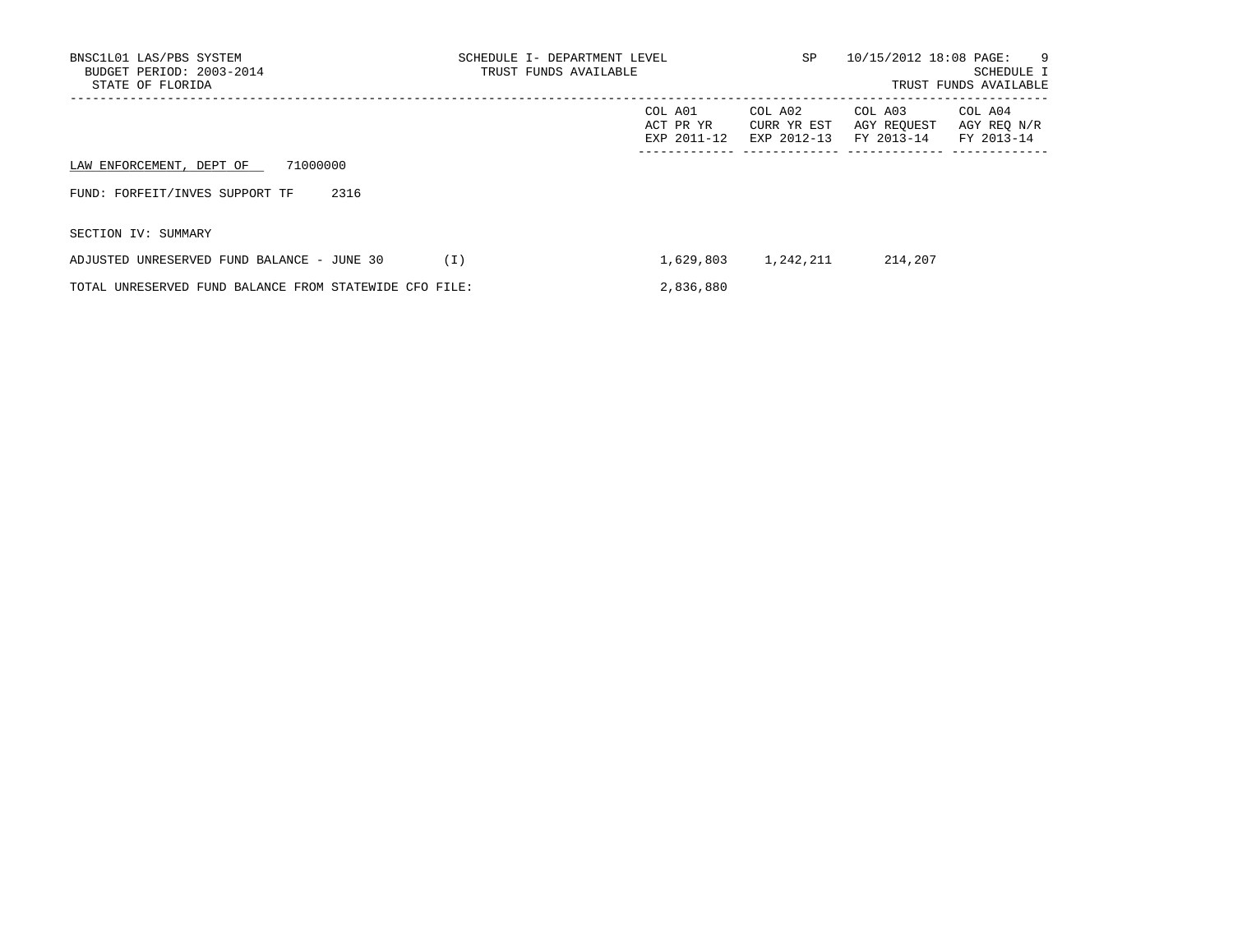| BNSC1L01 LAS/PBS SYSTEM<br>BUDGET PERIOD: 2003-2014<br>STATE OF FLORIDA | SCHEDULE I- DEPARTMENT LEVEL<br>TRUST FUNDS AVAILABLE | SP                                  | 10/15/2012 18:08 PAGE:<br>- 9<br>SCHEDULE I<br>TRUST FUNDS AVAILABLE |                                      |                                      |
|-------------------------------------------------------------------------|-------------------------------------------------------|-------------------------------------|----------------------------------------------------------------------|--------------------------------------|--------------------------------------|
|                                                                         |                                                       | COL A01<br>ACT PR YR<br>EXP 2011-12 | COL A02<br>CURR YR EST<br>EXP 2012-13                                | COL A03<br>AGY REOUEST<br>FY 2013-14 | COL A04<br>AGY REO N/R<br>FY 2013-14 |
| 71000000<br>LAW ENFORCEMENT, DEPT OF                                    |                                                       |                                     |                                                                      |                                      |                                      |
| FUND: FORFEIT/INVES SUPPORT TF<br>2316                                  |                                                       |                                     |                                                                      |                                      |                                      |
| SECTION IV: SUMMARY                                                     |                                                       |                                     |                                                                      |                                      |                                      |
| ADJUSTED UNRESERVED FUND BALANCE - JUNE 30                              | (I)                                                   | 1,629,803                           | 1,242,211                                                            | 214,207                              |                                      |
| TOTAL UNRESERVED FUND BALANCE FROM STATEWIDE CFO FILE:                  |                                                       | 2,836,880                           |                                                                      |                                      |                                      |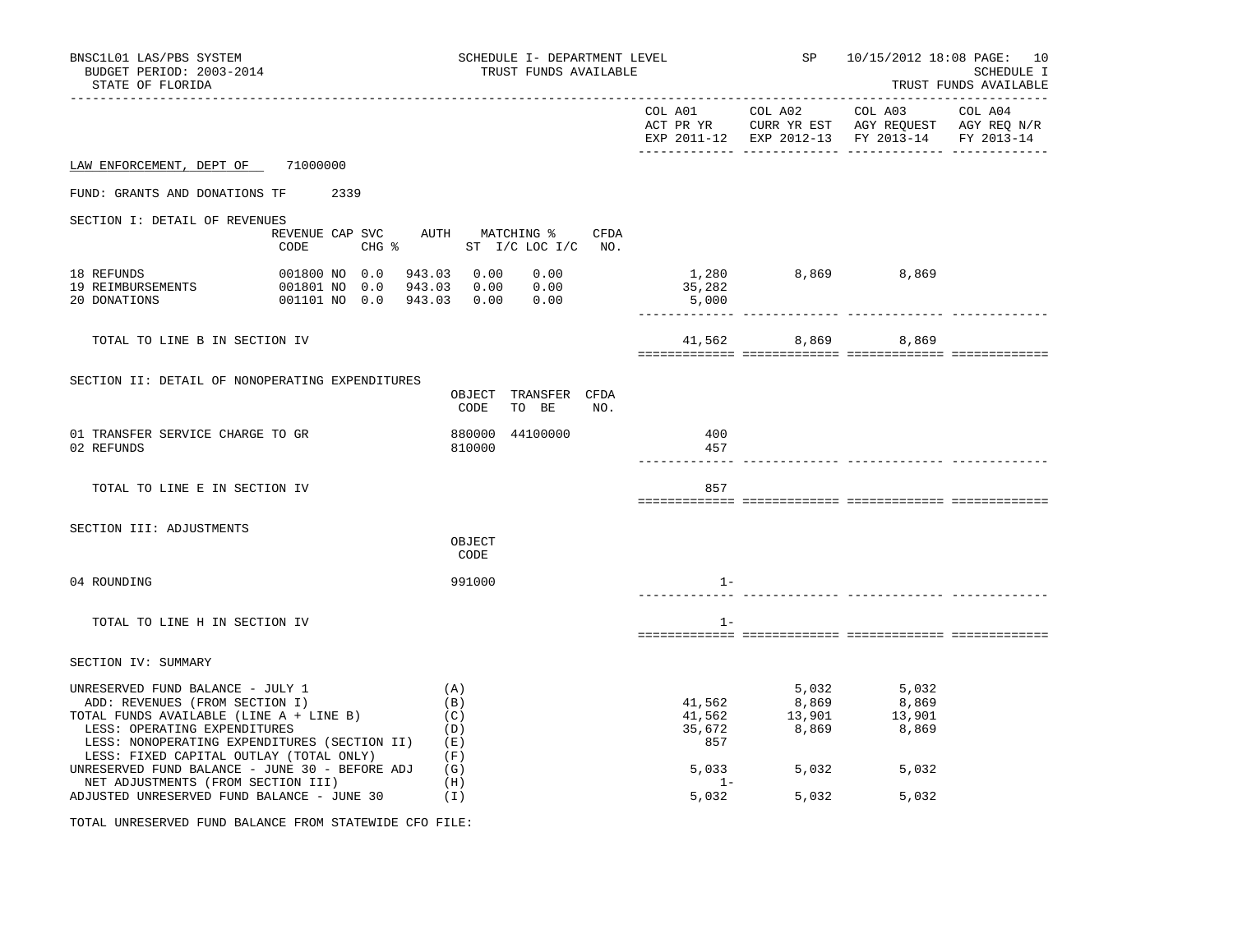| BNSC1L01 LAS/PBS SYSTEM<br>BUDGET PERIOD: 2003-2014<br>STATE OF FLORIDA                                                                                                                                                                      |                                                                                                       | SCHEDULE I- DEPARTMENT LEVEL<br>TRUST FUNDS AVAILABLE |             |                                                                                                                                                                                                                         | SP 10/15/2012 18:08 PAGE: 10<br>SCHEDULE I<br>TRUST FUNDS AVAILABLE |  |  |
|----------------------------------------------------------------------------------------------------------------------------------------------------------------------------------------------------------------------------------------------|-------------------------------------------------------------------------------------------------------|-------------------------------------------------------|-------------|-------------------------------------------------------------------------------------------------------------------------------------------------------------------------------------------------------------------------|---------------------------------------------------------------------|--|--|
|                                                                                                                                                                                                                                              |                                                                                                       |                                                       |             | EXP 2011-12 EXP 2012-13 FY 2013-14 FY 2013-14                                                                                                                                                                           |                                                                     |  |  |
| LAW ENFORCEMENT, DEPT OF 71000000                                                                                                                                                                                                            |                                                                                                       |                                                       |             |                                                                                                                                                                                                                         |                                                                     |  |  |
| FUND: GRANTS AND DONATIONS TF 2339                                                                                                                                                                                                           |                                                                                                       |                                                       |             |                                                                                                                                                                                                                         |                                                                     |  |  |
| SECTION I: DETAIL OF REVENUES<br>CODE                                                                                                                                                                                                        | REVENUE CAP SVC AUTH MATCHING % CFDA<br>CHG % ST I/C LOC I/C NO.                                      |                                                       |             |                                                                                                                                                                                                                         |                                                                     |  |  |
| 18 REFUNDS<br>19 REIMBURSEMENTS<br>20 DONATIONS                                                                                                                                                                                              | 001800 NO 0.0 943.03 0.00<br>0.00<br>001801 NO 0.0 943.03 0.00 0.00<br>001101 NO 0.0 943.03 0.00 0.00 | $1,280$ $8,869$ $8,869$<br>5,000                      |             |                                                                                                                                                                                                                         |                                                                     |  |  |
| TOTAL TO LINE B IN SECTION IV                                                                                                                                                                                                                |                                                                                                       |                                                       |             | 41,562 8,869 8,869                                                                                                                                                                                                      |                                                                     |  |  |
| SECTION II: DETAIL OF NONOPERATING EXPENDITURES                                                                                                                                                                                              | OBJECT TRANSFER CFDA<br>TO BE<br>CODE<br>NO.                                                          |                                                       |             |                                                                                                                                                                                                                         |                                                                     |  |  |
| 01 TRANSFER SERVICE CHARGE TO GR<br>02 REFUNDS                                                                                                                                                                                               | 880000 44100000<br>810000                                                                             | 400<br>457                                            |             |                                                                                                                                                                                                                         |                                                                     |  |  |
| TOTAL TO LINE E IN SECTION IV                                                                                                                                                                                                                |                                                                                                       | 857                                                   |             |                                                                                                                                                                                                                         |                                                                     |  |  |
| SECTION III: ADJUSTMENTS                                                                                                                                                                                                                     | OBJECT<br>CODE                                                                                        |                                                       |             |                                                                                                                                                                                                                         |                                                                     |  |  |
| 04 ROUNDING                                                                                                                                                                                                                                  | 991000                                                                                                | $1 -$                                                 |             |                                                                                                                                                                                                                         |                                                                     |  |  |
| TOTAL TO LINE H IN SECTION IV                                                                                                                                                                                                                |                                                                                                       | $1 -$                                                 |             |                                                                                                                                                                                                                         |                                                                     |  |  |
| SECTION IV: SUMMARY                                                                                                                                                                                                                          |                                                                                                       |                                                       |             |                                                                                                                                                                                                                         |                                                                     |  |  |
| UNRESERVED FUND BALANCE - JULY 1<br>ADD: REVENUES (FROM SECTION I)<br>TOTAL FUNDS AVAILABLE (LINE A + LINE B)<br>LESS: OPERATING EXPENDITURES<br>LESS: NONOPERATING EXPENDITURES (SECTION II) (E)<br>LESS: FIXED CAPITAL OUTLAY (TOTAL ONLY) | (A)<br>(B)<br>(C)<br>(D)<br>(F)                                                                       | 857                                                   |             | 5,032 5,032<br>$\begin{array}{cccc} 41,562 & \phantom{00} & 8,869 & \phantom{00} & 8,869 \\ 41,562 & \phantom{00} & 13,901 & \phantom{00} & 13,901 \\ 35,672 & \phantom{00} & 8,869 & \phantom{00} & 8,869 \end{array}$ |                                                                     |  |  |
| UNRESERVED FUND BALANCE - JUNE 30 - BEFORE ADJ<br>NET ADJUSTMENTS (FROM SECTION III)<br>ADJUSTED UNRESERVED FUND BALANCE - JUNE 30                                                                                                           | (G)<br>(H)<br>(I)                                                                                     | $1 -$<br>5,032                                        | 5,033 5,032 | 5,032<br>5,032<br>5,032                                                                                                                                                                                                 |                                                                     |  |  |

TOTAL UNRESERVED FUND BALANCE FROM STATEWIDE CFO FILE: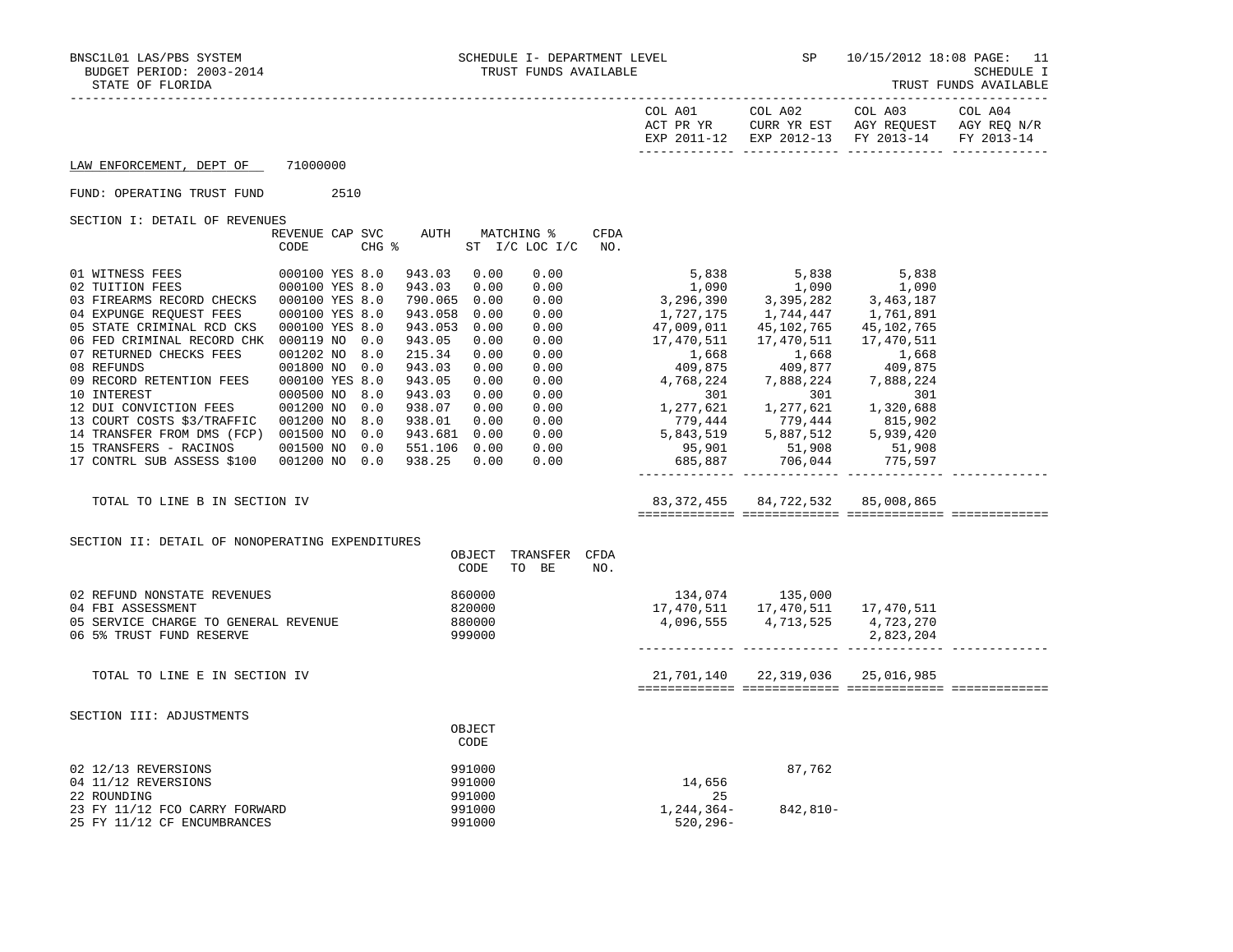| STATE OF FLORIDA                                                                                                                                                                   |                                                                                    |       |                                                                            |                                      |                                                  |                    |                                                                                       |                                                                                  |                                                                                                           | TRUST FUNDS AVAILABLE |
|------------------------------------------------------------------------------------------------------------------------------------------------------------------------------------|------------------------------------------------------------------------------------|-------|----------------------------------------------------------------------------|--------------------------------------|--------------------------------------------------|--------------------|---------------------------------------------------------------------------------------|----------------------------------------------------------------------------------|-----------------------------------------------------------------------------------------------------------|-----------------------|
|                                                                                                                                                                                    |                                                                                    |       |                                                                            |                                      |                                                  |                    | COL A01                                                                               | COL A02                                                                          | COL A03<br>ACT PR YR CURR YR EST AGY REQUEST AGY REQ N/R<br>EXP 2011-12 EXP 2012-13 FY 2013-14 FY 2013-14 | COL A04               |
| LAW ENFORCEMENT, DEPT OF                                                                                                                                                           | 71000000                                                                           |       |                                                                            |                                      |                                                  |                    |                                                                                       |                                                                                  |                                                                                                           |                       |
| FUND: OPERATING TRUST FUND                                                                                                                                                         |                                                                                    | 2510  |                                                                            |                                      |                                                  |                    |                                                                                       |                                                                                  |                                                                                                           |                       |
| SECTION I: DETAIL OF REVENUES                                                                                                                                                      |                                                                                    |       |                                                                            |                                      |                                                  |                    |                                                                                       |                                                                                  |                                                                                                           |                       |
|                                                                                                                                                                                    | REVENUE CAP SVC<br>CODE                                                            | CHG % | AUTH                                                                       |                                      | MATCHING %<br>ST I/C LOC I/C                     | <b>CFDA</b><br>NO. |                                                                                       |                                                                                  |                                                                                                           |                       |
| 01 WITNESS FEES<br>02 TUITION FEES<br>03 FIREARMS RECORD CHECKS 000100 YES 8.0<br>04 EXPUNGE REQUEST FEES<br>05 STATE CRIMINAL RCD CKS<br>06 FED CRIMINAL RECORD CHK 000119 NO 0.0 | 000100 YES 8.0<br>000100 YES 8.0<br>000100 YES 8.0<br>000100 YES 8.0               |       | 943.03<br>943.03<br>790.065 0.00<br>943.058 0.00<br>943.053 0.00<br>943.05 | 0.00<br>0.00<br>0.00                 | 0.00<br>0.00<br>0.00<br>0.00<br>0.00<br>0.00     |                    | 1,090<br>3,296,390<br>1,727,175<br>47,009,011<br>17,470,511                           | 5,838 5,838<br>1,090 1,090<br>3,395,282<br>1,744,447<br>45,102,765<br>17,470,511 | 5,838<br>1,090<br>3,463,187<br>1,761,891<br>45,102,765<br>17,470,511                                      |                       |
| 07 RETURNED CHECKS FEES<br>08 REFUNDS<br>09 RECORD RETENTION FEES<br>10 INTEREST<br>12 DUI CONVICTION FEES                                                                         | 001202 NO 8.0<br>001800 NO 0.0<br>000100 YES 8.0<br>000500 NO 8.0<br>001200 NO 0.0 |       | 215.34<br>943.03<br>943.05<br>943.03<br>938.07                             | 0.00<br>0.00<br>0.00<br>0.00<br>0.00 | 0.00<br>0.00<br>$0.00$<br>$0.00$<br>0.00<br>0.00 |                    | 1,668<br>409,875<br>$4,768,224$<br>$301$<br>$1,277,621$<br>$1,277,621$<br>$1,277,621$ | 1,668<br>409,877                                                                 | 1,668<br>409,875<br>7,888,224<br>301<br>1,320,688                                                         |                       |
| 13 COURT COSTS \$3/TRAFFIC 001200 NO<br>14 TRANSFER FROM DMS (FCP) 001500 NO 0.0<br>15 TRANSFERS - RACINOS<br>17 CONTRL SUB ASSESS \$100                                           | 001500 NO 0.0<br>001200 NO 0.0                                                     | 8.0   | 938.01<br>943.681 0.00<br>551.106 0.00<br>938.25                           | 0.00<br>0.00                         | 0.00<br>0.00<br>0.00<br>0.00                     |                    | 5,843,519<br>95,901<br>685,887                                                        | 779,444 779,444<br>5,887,512<br>51,908<br>706,044                                | 815,902<br>5,939,420<br>51,908<br>775,597                                                                 |                       |
| TOTAL TO LINE B IN SECTION IV                                                                                                                                                      |                                                                                    |       |                                                                            |                                      |                                                  |                    |                                                                                       | 83, 372, 455 84, 722, 532                                                        | 85,008,865                                                                                                |                       |
| SECTION II: DETAIL OF NONOPERATING EXPENDITURES                                                                                                                                    |                                                                                    |       |                                                                            | CODE                                 | OBJECT TRANSFER CFDA<br>TO BE                    | NO.                |                                                                                       |                                                                                  |                                                                                                           |                       |
| 02 REFUND NONSTATE REVENUES<br>04 FBI ASSESSMENT<br>05 SERVICE CHARGE TO GENERAL REVENUE<br>06 5% TRUST FUND RESERVE                                                               |                                                                                    |       |                                                                            | 860000<br>820000<br>880000<br>999000 |                                                  |                    |                                                                                       | 134,074 135,000<br>17,470,511 17,470,511<br>4,096,555 4,713,525                  | 17,470,511<br>4,723,270<br>2,823,204                                                                      |                       |
| TOTAL TO LINE E IN SECTION IV                                                                                                                                                      |                                                                                    |       |                                                                            |                                      |                                                  |                    |                                                                                       | 21,701,140 22,319,036                                                            | 25,016,985                                                                                                |                       |
| SECTION III: ADJUSTMENTS                                                                                                                                                           |                                                                                    |       |                                                                            | OBJECT<br>CODE                       |                                                  |                    |                                                                                       |                                                                                  |                                                                                                           |                       |
| 02 12/13 REVERSIONS<br>04 11/12 REVERSIONS<br>22 ROUNDING                                                                                                                          |                                                                                    |       |                                                                            | 991000<br>991000<br>991000           |                                                  |                    | 14,656<br>25                                                                          | 87,762                                                                           |                                                                                                           |                       |
| 23 FY 11/12 FCO CARRY FORWARD<br>25 FY 11/12 CF ENCUMBRANCES                                                                                                                       |                                                                                    |       |                                                                            | 991000<br>991000                     |                                                  |                    | 1,244,364–<br>$520, 296 -$                                                            | 842,810-                                                                         |                                                                                                           |                       |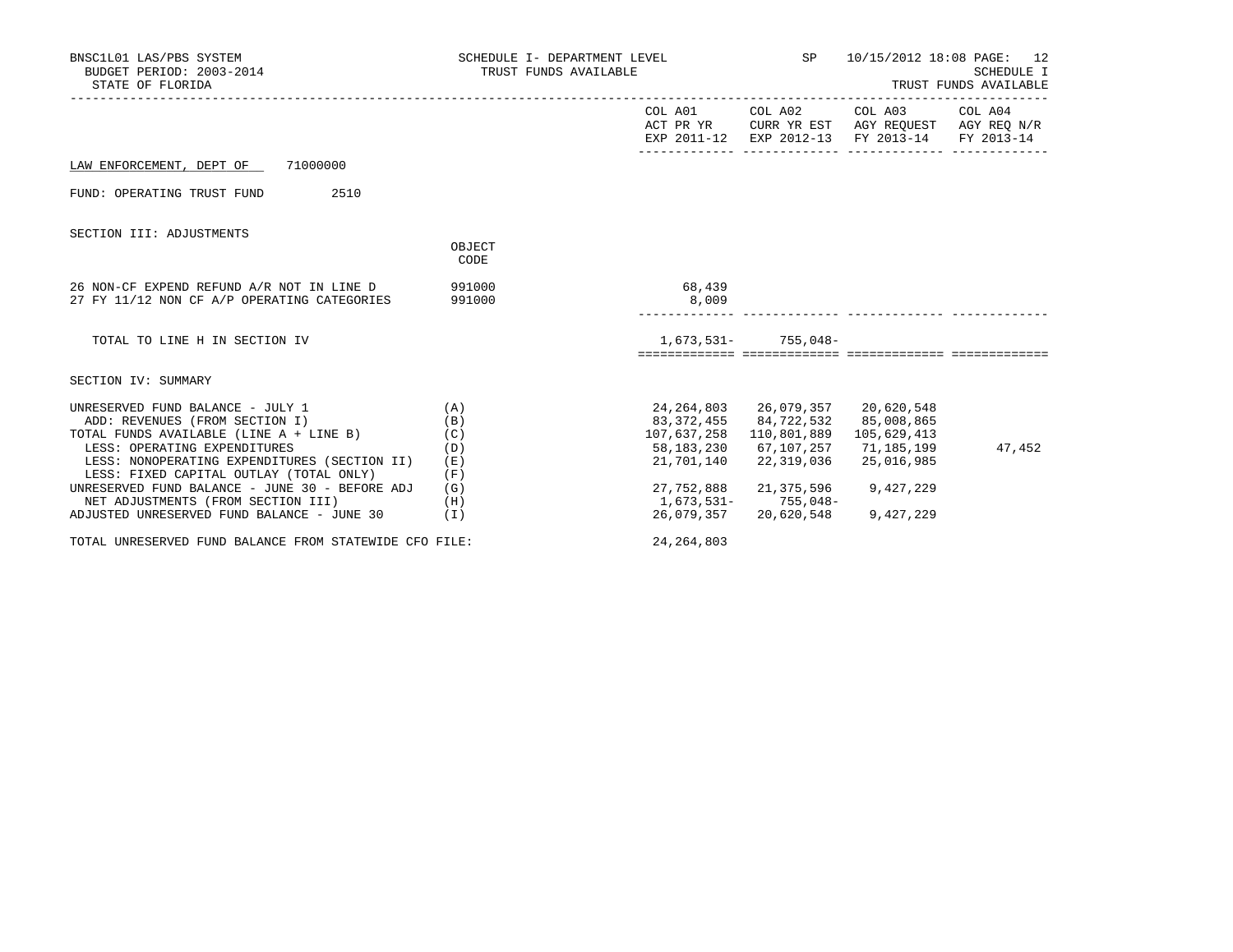| BNSC1L01 LAS/PBS SYSTEM<br>BUDGET PERIOD: 2003-2014<br>STATE OF FLORIDA                                                            | SCHEDULE I- DEPARTMENT LEVEL SP<br>TRUST FUNDS AVAILABLE |                                        |                                                                                                 | 10/15/2012 18:08 PAGE: 12<br><b>SCHEDULE I</b><br>TRUST FUNDS AVAILABLE                                                           |        |  |
|------------------------------------------------------------------------------------------------------------------------------------|----------------------------------------------------------|----------------------------------------|-------------------------------------------------------------------------------------------------|-----------------------------------------------------------------------------------------------------------------------------------|--------|--|
|                                                                                                                                    |                                                          |                                        |                                                                                                 | COL A01 COL A02 COL A03 COL A04<br>ACT PR YR CURR YR EST AGY REQUEST AGY REQ N/R<br>EXP 2011-12 EXP 2012-13 FY 2013-14 FY 2013-14 |        |  |
| LAW ENFORCEMENT, DEPT OF 71000000                                                                                                  |                                                          |                                        |                                                                                                 |                                                                                                                                   |        |  |
| 2510<br>FUND: OPERATING TRUST FUND                                                                                                 |                                                          |                                        |                                                                                                 |                                                                                                                                   |        |  |
| SECTION III: ADJUSTMENTS                                                                                                           |                                                          |                                        |                                                                                                 |                                                                                                                                   |        |  |
|                                                                                                                                    | OBJECT<br>CODE                                           |                                        |                                                                                                 |                                                                                                                                   |        |  |
| 26 NON-CF EXPEND REFUND A/R NOT IN LINE D<br>27 FY 11/12 NON CF A/P OPERATING CATEGORIES                                           | 991000<br>991000                                         | 68,439<br>8,009                        |                                                                                                 |                                                                                                                                   |        |  |
| TOTAL TO LINE H IN SECTION IV                                                                                                      |                                                          |                                        | $1,673,531-755,048-$                                                                            |                                                                                                                                   |        |  |
|                                                                                                                                    |                                                          |                                        |                                                                                                 |                                                                                                                                   |        |  |
| SECTION IV: SUMMARY                                                                                                                |                                                          |                                        |                                                                                                 |                                                                                                                                   |        |  |
| UNRESERVED FUND BALANCE - JULY 1<br>ADD: REVENUES (FROM SECTION I)<br>TOTAL FUNDS AVAILABLE (LINE A + LINE B)                      | (A)<br>(B)<br>(C)                                        |                                        | 24,264,803 26,079,357 20,620,548<br>83,372,455 84,722,532 85,008,865<br>107,637,258 110,801,889 | 105,629,413                                                                                                                       |        |  |
| LESS: OPERATING EXPENDITURES<br>LESS: NONOPERATING EXPENDITURES (SECTION II)<br>LESS: FIXED CAPITAL OUTLAY (TOTAL ONLY)            | (D)<br>(E)<br>(F)                                        | 21,701,140                             | 58,183,230 67,107,257<br>22,319,036                                                             | 71,185,199<br>25,016,985                                                                                                          | 47,452 |  |
| UNRESERVED FUND BALANCE - JUNE 30 - BEFORE ADJ<br>NET ADJUSTMENTS (FROM SECTION III)<br>ADJUSTED UNRESERVED FUND BALANCE - JUNE 30 | (G)<br>(H)<br>(T)                                        | 27,752,888<br>1,673,531-<br>26,079,357 | 21,375,596<br>$755,048-$<br>20,620,548                                                          | 9,427,229<br>9,427,229                                                                                                            |        |  |
| TOTAL UNRESERVED FUND BALANCE FROM STATEWIDE CFO FILE:                                                                             |                                                          | 24, 264, 803                           |                                                                                                 |                                                                                                                                   |        |  |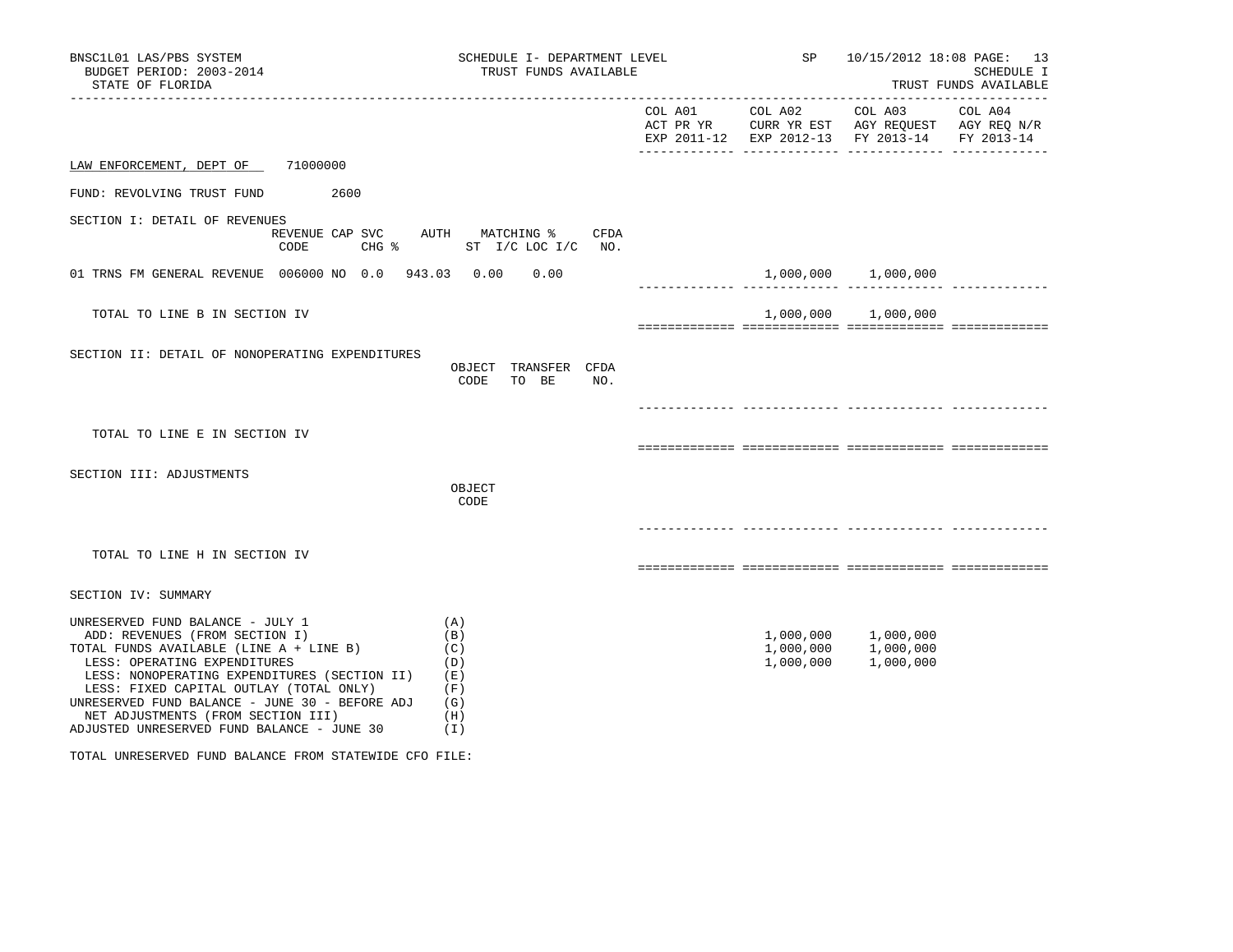| BNSC1L01 LAS/PBS SYSTEM<br>BUDGET PERIOD: 2003-2014<br>STATE OF FLORIDA                                                                                                                                                                                                                                                                                                        | SCHEDULE I- DEPARTMENT LEVEL<br>TRUST FUNDS AVAILABLE         | <b>SP</b>       | 10/15/2012 18:08 PAGE: 13<br>SCHEDULE I<br>TRUST FUNDS AVAILABLE |                                                                                                                                            |  |
|--------------------------------------------------------------------------------------------------------------------------------------------------------------------------------------------------------------------------------------------------------------------------------------------------------------------------------------------------------------------------------|---------------------------------------------------------------|-----------------|------------------------------------------------------------------|--------------------------------------------------------------------------------------------------------------------------------------------|--|
|                                                                                                                                                                                                                                                                                                                                                                                |                                                               | COL A01 COL A02 |                                                                  | COL A03 COL A04<br>ACT PR YR $\,$ CURR YR EST $\,$ AGY REQUEST $\,$ AGY REQ $\,$ N/R $\,$<br>EXP 2011-12 EXP 2012-13 FY 2013-14 FY 2013-14 |  |
| 71000000<br>LAW ENFORCEMENT, DEPT OF                                                                                                                                                                                                                                                                                                                                           |                                                               |                 |                                                                  |                                                                                                                                            |  |
| FUND: REVOLVING TRUST FUND<br>2600                                                                                                                                                                                                                                                                                                                                             |                                                               |                 |                                                                  |                                                                                                                                            |  |
| SECTION I: DETAIL OF REVENUES<br>$CHG$ $\approx$<br>CODE                                                                                                                                                                                                                                                                                                                       | REVENUE CAP SVC AUTH MATCHING %<br>CFDA<br>ST I/C LOC I/C NO. |                 |                                                                  |                                                                                                                                            |  |
| 01 TRNS FM GENERAL REVENUE 006000 NO 0.0 943.03 0.00                                                                                                                                                                                                                                                                                                                           | 0.00                                                          |                 |                                                                  | 1,000,000 1,000,000                                                                                                                        |  |
| TOTAL TO LINE B IN SECTION IV                                                                                                                                                                                                                                                                                                                                                  |                                                               |                 |                                                                  | 1,000,000 1,000,000                                                                                                                        |  |
| SECTION II: DETAIL OF NONOPERATING EXPENDITURES                                                                                                                                                                                                                                                                                                                                | OBJECT TRANSFER CFDA<br>CODE<br>TO BE<br>NO.                  |                 |                                                                  |                                                                                                                                            |  |
| TOTAL TO LINE E IN SECTION IV                                                                                                                                                                                                                                                                                                                                                  |                                                               |                 |                                                                  |                                                                                                                                            |  |
| SECTION III: ADJUSTMENTS                                                                                                                                                                                                                                                                                                                                                       | OBJECT<br>CODE                                                |                 |                                                                  |                                                                                                                                            |  |
| TOTAL TO LINE H IN SECTION IV                                                                                                                                                                                                                                                                                                                                                  |                                                               |                 |                                                                  |                                                                                                                                            |  |
| SECTION IV: SUMMARY                                                                                                                                                                                                                                                                                                                                                            |                                                               |                 |                                                                  |                                                                                                                                            |  |
| UNRESERVED FUND BALANCE - JULY 1<br>ADD: REVENUES (FROM SECTION I)<br>TOTAL FUNDS AVAILABLE (LINE A + LINE B)<br>LESS: OPERATING EXPENDITURES<br>LESS: NONOPERATING EXPENDITURES (SECTION II)<br>LESS: FIXED CAPITAL OUTLAY (TOTAL ONLY)<br>UNRESERVED FUND BALANCE - JUNE 30 - BEFORE ADJ<br>NET ADJUSTMENTS (FROM SECTION III)<br>ADJUSTED UNRESERVED FUND BALANCE - JUNE 30 | (A)<br>(B)<br>(C)<br>(D)<br>(E)<br>(F)<br>(G)<br>(H)<br>(I)   |                 | 1,000,000<br>1,000,000                                           | 1,000,000 1,000,000<br>1,000,000<br>1,000,000                                                                                              |  |

TOTAL UNRESERVED FUND BALANCE FROM STATEWIDE CFO FILE: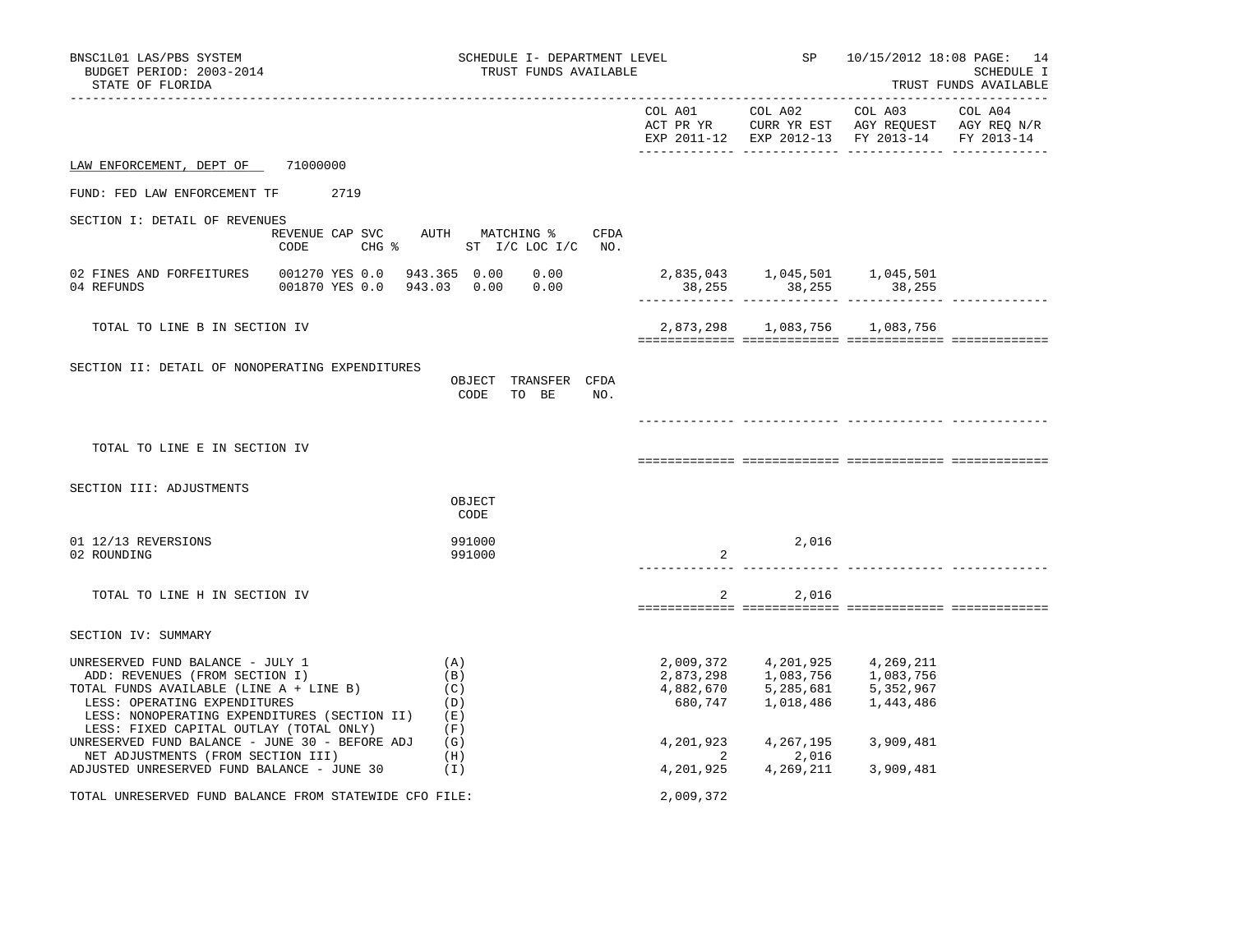| BNSC1L01 LAS/PBS SYSTEM<br>BUDGET PERIOD: 2003-2014<br>STATE OF FLORIDA                                                                                                                                                                  | SCHEDULE I- DEPARTMENT LEVEL<br>TRUST FUNDS AVAILABLE                  | SP                                             |                                                    |                                                                                                           | 10/15/2012 18:08 PAGE: 14<br>SCHEDULE I<br>TRUST FUNDS AVAILABLE |  |  |
|------------------------------------------------------------------------------------------------------------------------------------------------------------------------------------------------------------------------------------------|------------------------------------------------------------------------|------------------------------------------------|----------------------------------------------------|-----------------------------------------------------------------------------------------------------------|------------------------------------------------------------------|--|--|
| -------------------                                                                                                                                                                                                                      |                                                                        |                                                | COL A01 COL A02                                    | COL A03<br>ACT PR YR CURR YR EST AGY REQUEST AGY REQ N/R<br>EXP 2011-12 EXP 2012-13 FY 2013-14 FY 2013-14 | COL A04                                                          |  |  |
| LAW ENFORCEMENT, DEPT OF 71000000                                                                                                                                                                                                        |                                                                        |                                                |                                                    |                                                                                                           |                                                                  |  |  |
| FUND: FED LAW ENFORCEMENT TF<br>2719                                                                                                                                                                                                     |                                                                        |                                                |                                                    |                                                                                                           |                                                                  |  |  |
| SECTION I: DETAIL OF REVENUES<br>CODE                                                                                                                                                                                                    | REVENUE CAP SVC AUTH MATCHING %<br>CFDA<br>CHG % ST I/C LOC I/C NO.    |                                                |                                                    |                                                                                                           |                                                                  |  |  |
| 02 FINES AND FORFEITURES<br>04 REFUNDS                                                                                                                                                                                                   | 001270 YES 0.0 943.365 0.00 0.00<br>001870 YES 0.0 943.03 0.00<br>0.00 | 38,255                                         | 2,835,043   1,045,501   1,045,501<br>38,255 38,255 |                                                                                                           | ______________                                                   |  |  |
| TOTAL TO LINE B IN SECTION IV                                                                                                                                                                                                            |                                                                        |                                                | 2,873,298 1,083,756 1,083,756                      |                                                                                                           |                                                                  |  |  |
| SECTION II: DETAIL OF NONOPERATING EXPENDITURES                                                                                                                                                                                          | OBJECT TRANSFER CFDA<br>CODE<br>TO BE<br>NO.                           |                                                |                                                    |                                                                                                           |                                                                  |  |  |
| TOTAL TO LINE E IN SECTION IV                                                                                                                                                                                                            |                                                                        |                                                |                                                    |                                                                                                           |                                                                  |  |  |
| SECTION III: ADJUSTMENTS                                                                                                                                                                                                                 | OBJECT<br>CODE                                                         |                                                |                                                    |                                                                                                           |                                                                  |  |  |
| 01 12/13 REVERSIONS<br>02 ROUNDING                                                                                                                                                                                                       | 991000<br>991000                                                       | 2                                              | 2,016                                              |                                                                                                           |                                                                  |  |  |
| TOTAL TO LINE H IN SECTION IV                                                                                                                                                                                                            |                                                                        | 2                                              | 2,016                                              |                                                                                                           |                                                                  |  |  |
| SECTION IV: SUMMARY                                                                                                                                                                                                                      |                                                                        |                                                |                                                    |                                                                                                           |                                                                  |  |  |
| UNRESERVED FUND BALANCE - JULY 1<br>ADD: REVENUES (FROM SECTION I)<br>TOTAL FUNDS AVAILABLE (LINE A + LINE B)<br>LESS: OPERATING EXPENDITURES<br>LESS: NONOPERATING EXPENDITURES (SECTION II)<br>LESS: FIXED CAPITAL OUTLAY (TOTAL ONLY) | (A)<br>(B)<br>(C)<br>(D)<br>(E)<br>(F)                                 | 2,009,372<br>2,873,298<br>4,882,670<br>680,747 | 4,201,925<br>1,083,756<br>5,285,681<br>1,018,486   | 4,269,211<br>1,083,756<br>5,352,967<br>1,443,486                                                          |                                                                  |  |  |
| UNRESERVED FUND BALANCE - JUNE 30 - BEFORE ADJ<br>NET ADJUSTMENTS (FROM SECTION III)                                                                                                                                                     | (G)<br>(H)                                                             | 4,201,923<br>2                                 | 4,267,195<br>2,016                                 | 3,909,481                                                                                                 |                                                                  |  |  |
| ADJUSTED UNRESERVED FUND BALANCE - JUNE 30                                                                                                                                                                                               | (1)                                                                    | 4,201,925                                      | 4,269,211                                          | 3,909,481                                                                                                 |                                                                  |  |  |
| TOTAL UNRESERVED FUND BALANCE FROM STATEWIDE CFO FILE:                                                                                                                                                                                   |                                                                        | 2,009,372                                      |                                                    |                                                                                                           |                                                                  |  |  |